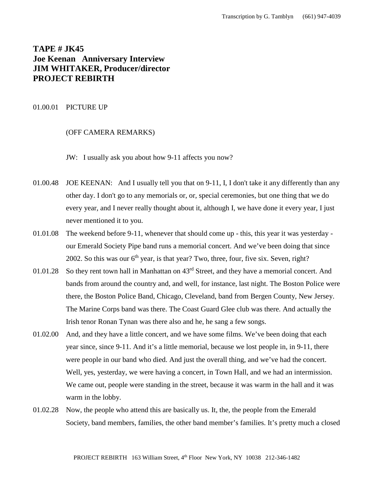# **TAPE # JK45 Joe Keenan Anniversary Interview JIM WHITAKER, Producer/director PROJECT REBIRTH**

#### 01.00.01 PICTURE UP

### (OFF CAMERA REMARKS)

JW: I usually ask you about how 9-11 affects you now?

- 01.00.48 JOE KEENAN: And I usually tell you that on 9-11, I, I don't take it any differently than any other day. I don't go to any memorials or, or, special ceremonies, but one thing that we do every year, and I never really thought about it, although I, we have done it every year, I just never mentioned it to you.
- 01.01.08 The weekend before 9-11, whenever that should come up this, this year it was yesterday our Emerald Society Pipe band runs a memorial concert. And we've been doing that since 2002. So this was our  $6<sup>th</sup>$  year, is that year? Two, three, four, five six. Seven, right?
- 01.01.28 So they rent town hall in Manhattan on 43<sup>rd</sup> Street, and they have a memorial concert. And bands from around the country and, and well, for instance, last night. The Boston Police were there, the Boston Police Band, Chicago, Cleveland, band from Bergen County, New Jersey. The Marine Corps band was there. The Coast Guard Glee club was there. And actually the Irish tenor Ronan Tynan was there also and he, he sang a few songs.
- 01.02.00 And, and they have a little concert, and we have some films. We've been doing that each year since, since 9-11. And it's a little memorial, because we lost people in, in 9-11, there were people in our band who died. And just the overall thing, and we've had the concert. Well, yes, yesterday, we were having a concert, in Town Hall, and we had an intermission. We came out, people were standing in the street, because it was warm in the hall and it was warm in the lobby.
- 01.02.28 Now, the people who attend this are basically us. It, the, the people from the Emerald Society, band members, families, the other band member's families. It's pretty much a closed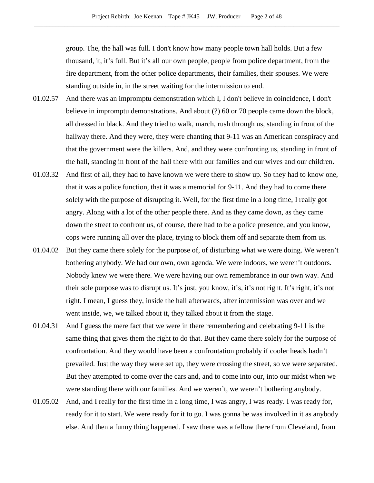group. The, the hall was full. I don't know how many people town hall holds. But a few thousand, it, it's full. But it's all our own people, people from police department, from the fire department, from the other police departments, their families, their spouses. We were standing outside in, in the street waiting for the intermission to end.

- 01.02.57 And there was an impromptu demonstration which I, I don't believe in coincidence, I don't believe in impromptu demonstrations. And about (?) 60 or 70 people came down the block, all dressed in black. And they tried to walk, march, rush through us, standing in front of the hallway there. And they were, they were chanting that 9-11 was an American conspiracy and that the government were the killers. And, and they were confronting us, standing in front of the hall, standing in front of the hall there with our families and our wives and our children.
- 01.03.32 And first of all, they had to have known we were there to show up. So they had to know one, that it was a police function, that it was a memorial for 9-11. And they had to come there solely with the purpose of disrupting it. Well, for the first time in a long time, I really got angry. Along with a lot of the other people there. And as they came down, as they came down the street to confront us, of course, there had to be a police presence, and you know, cops were running all over the place, trying to block them off and separate them from us.
- 01.04.02 But they came there solely for the purpose of, of disturbing what we were doing. We weren't bothering anybody. We had our own, own agenda. We were indoors, we weren't outdoors. Nobody knew we were there. We were having our own remembrance in our own way. And their sole purpose was to disrupt us. It's just, you know, it's, it's not right. It's right, it's not right. I mean, I guess they, inside the hall afterwards, after intermission was over and we went inside, we, we talked about it, they talked about it from the stage.
- 01.04.31 And I guess the mere fact that we were in there remembering and celebrating 9-11 is the same thing that gives them the right to do that. But they came there solely for the purpose of confrontation. And they would have been a confrontation probably if cooler heads hadn't prevailed. Just the way they were set up, they were crossing the street, so we were separated. But they attempted to come over the cars and, and to come into our, into our midst when we were standing there with our families. And we weren't, we weren't bothering anybody.
- 01.05.02 And, and I really for the first time in a long time, I was angry, I was ready. I was ready for, ready for it to start. We were ready for it to go. I was gonna be was involved in it as anybody else. And then a funny thing happened. I saw there was a fellow there from Cleveland, from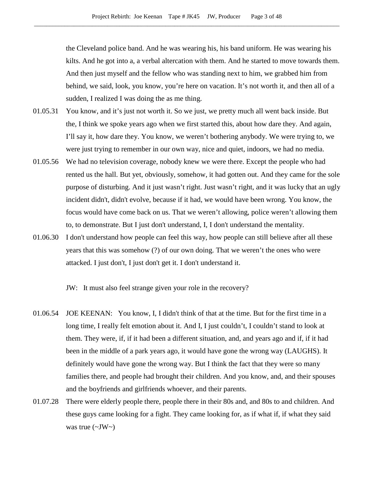the Cleveland police band. And he was wearing his, his band uniform. He was wearing his kilts. And he got into a, a verbal altercation with them. And he started to move towards them. And then just myself and the fellow who was standing next to him, we grabbed him from behind, we said, look, you know, you're here on vacation. It's not worth it, and then all of a sudden, I realized I was doing the as me thing.

- 01.05.31 You know, and it's just not worth it. So we just, we pretty much all went back inside. But the, I think we spoke years ago when we first started this, about how dare they. And again, I'll say it, how dare they. You know, we weren't bothering anybody. We were trying to, we were just trying to remember in our own way, nice and quiet, indoors, we had no media.
- 01.05.56 We had no television coverage, nobody knew we were there. Except the people who had rented us the hall. But yet, obviously, somehow, it had gotten out. And they came for the sole purpose of disturbing. And it just wasn't right. Just wasn't right, and it was lucky that an ugly incident didn't, didn't evolve, because if it had, we would have been wrong. You know, the focus would have come back on us. That we weren't allowing, police weren't allowing them to, to demonstrate. But I just don't understand, I, I don't understand the mentality.
- 01.06.30 I don't understand how people can feel this way, how people can still believe after all these years that this was somehow (?) of our own doing. That we weren't the ones who were attacked. I just don't, I just don't get it. I don't understand it.

JW: It must also feel strange given your role in the recovery?

- 01.06.54 JOE KEENAN: You know, I, I didn't think of that at the time. But for the first time in a long time, I really felt emotion about it. And I, I just couldn't, I couldn't stand to look at them. They were, if, if it had been a different situation, and, and years ago and if, if it had been in the middle of a park years ago, it would have gone the wrong way (LAUGHS). It definitely would have gone the wrong way. But I think the fact that they were so many families there, and people had brought their children. And you know, and, and their spouses and the boyfriends and girlfriends whoever, and their parents.
- 01.07.28 There were elderly people there, people there in their 80s and, and 80s to and children. And these guys came looking for a fight. They came looking for, as if what if, if what they said was true  $(\sim JW)$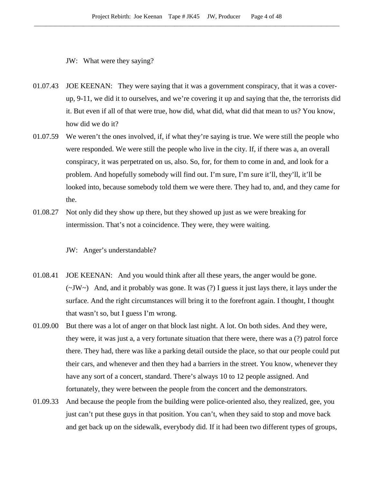JW: What were they saying?

- 01.07.43 JOE KEENAN: They were saying that it was a government conspiracy, that it was a coverup, 9-11, we did it to ourselves, and we're covering it up and saying that the, the terrorists did it. But even if all of that were true, how did, what did, what did that mean to us? You know, how did we do it?
- 01.07.59 We weren't the ones involved, if, if what they're saying is true. We were still the people who were responded. We were still the people who live in the city. If, if there was a, an overall conspiracy, it was perpetrated on us, also. So, for, for them to come in and, and look for a problem. And hopefully somebody will find out. I'm sure, I'm sure it'll, they'll, it'll be looked into, because somebody told them we were there. They had to, and, and they came for the.
- 01.08.27 Not only did they show up there, but they showed up just as we were breaking for intermission. That's not a coincidence. They were, they were waiting.
	- JW: Anger's understandable?
- 01.08.41 JOE KEENAN: And you would think after all these years, the anger would be gone.  $(\sim JW \sim)$  And, and it probably was gone. It was (?) I guess it just lays there, it lays under the surface. And the right circumstances will bring it to the forefront again. I thought, I thought that wasn't so, but I guess I'm wrong.
- 01.09.00 But there was a lot of anger on that block last night. A lot. On both sides. And they were, they were, it was just a, a very fortunate situation that there were, there was a (?) patrol force there. They had, there was like a parking detail outside the place, so that our people could put their cars, and whenever and then they had a barriers in the street. You know, whenever they have any sort of a concert, standard. There's always 10 to 12 people assigned. And fortunately, they were between the people from the concert and the demonstrators.
- 01.09.33 And because the people from the building were police-oriented also, they realized, gee, you just can't put these guys in that position. You can't, when they said to stop and move back and get back up on the sidewalk, everybody did. If it had been two different types of groups,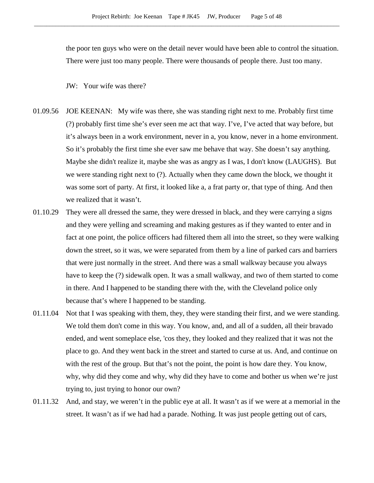the poor ten guys who were on the detail never would have been able to control the situation. There were just too many people. There were thousands of people there. Just too many.

#### JW: Your wife was there?

- 01.09.56 JOE KEENAN: My wife was there, she was standing right next to me. Probably first time (?) probably first time she's ever seen me act that way. I've, I've acted that way before, but it's always been in a work environment, never in a, you know, never in a home environment. So it's probably the first time she ever saw me behave that way. She doesn't say anything. Maybe she didn't realize it, maybe she was as angry as I was, I don't know (LAUGHS). But we were standing right next to (?). Actually when they came down the block, we thought it was some sort of party. At first, it looked like a, a frat party or, that type of thing. And then we realized that it wasn't.
- 01.10.29 They were all dressed the same, they were dressed in black, and they were carrying a signs and they were yelling and screaming and making gestures as if they wanted to enter and in fact at one point, the police officers had filtered them all into the street, so they were walking down the street, so it was, we were separated from them by a line of parked cars and barriers that were just normally in the street. And there was a small walkway because you always have to keep the (?) sidewalk open. It was a small walkway, and two of them started to come in there. And I happened to be standing there with the, with the Cleveland police only because that's where I happened to be standing.
- 01.11.04 Not that I was speaking with them, they, they were standing their first, and we were standing. We told them don't come in this way. You know, and, and all of a sudden, all their bravado ended, and went someplace else, 'cos they, they looked and they realized that it was not the place to go. And they went back in the street and started to curse at us. And, and continue on with the rest of the group. But that's not the point, the point is how dare they. You know, why, why did they come and why, why did they have to come and bother us when we're just trying to, just trying to honor our own?
- 01.11.32 And, and stay, we weren't in the public eye at all. It wasn't as if we were at a memorial in the street. It wasn't as if we had had a parade. Nothing. It was just people getting out of cars,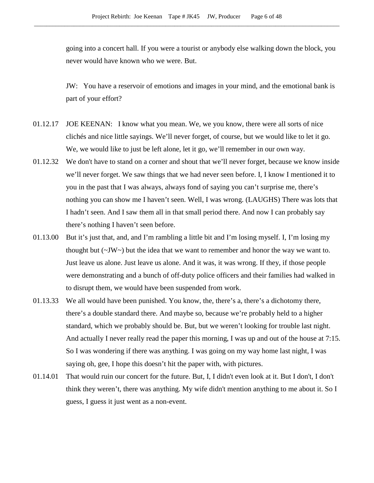going into a concert hall. If you were a tourist or anybody else walking down the block, you never would have known who we were. But.

JW: You have a reservoir of emotions and images in your mind, and the emotional bank is part of your effort?

- 01.12.17 JOE KEENAN: I know what you mean. We, we you know, there were all sorts of nice clichés and nice little sayings. We'll never forget, of course, but we would like to let it go. We, we would like to just be left alone, let it go, we'll remember in our own way.
- 01.12.32 We don't have to stand on a corner and shout that we'll never forget, because we know inside we'll never forget. We saw things that we had never seen before. I, I know I mentioned it to you in the past that I was always, always fond of saying you can't surprise me, there's nothing you can show me I haven't seen. Well, I was wrong. (LAUGHS) There was lots that I hadn't seen. And I saw them all in that small period there. And now I can probably say there's nothing I haven't seen before.
- 01.13.00 But it's just that, and, and I'm rambling a little bit and I'm losing myself. I, I'm losing my thought but  $(\sim JW_{\sim})$  but the idea that we want to remember and honor the way we want to. Just leave us alone. Just leave us alone. And it was, it was wrong. If they, if those people were demonstrating and a bunch of off-duty police officers and their families had walked in to disrupt them, we would have been suspended from work.
- 01.13.33 We all would have been punished. You know, the, there's a, there's a dichotomy there, there's a double standard there. And maybe so, because we're probably held to a higher standard, which we probably should be. But, but we weren't looking for trouble last night. And actually I never really read the paper this morning, I was up and out of the house at 7:15. So I was wondering if there was anything. I was going on my way home last night, I was saying oh, gee, I hope this doesn't hit the paper with, with pictures.
- 01.14.01 That would ruin our concert for the future. But, I, I didn't even look at it. But I don't, I don't think they weren't, there was anything. My wife didn't mention anything to me about it. So I guess, I guess it just went as a non-event.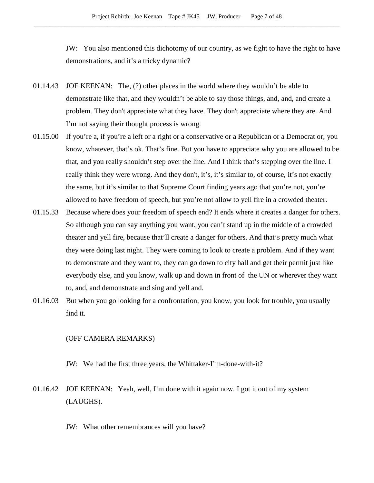JW: You also mentioned this dichotomy of our country, as we fight to have the right to have demonstrations, and it's a tricky dynamic?

- 01.14.43 JOE KEENAN: The, (?) other places in the world where they wouldn't be able to demonstrate like that, and they wouldn't be able to say those things, and, and, and create a problem. They don't appreciate what they have. They don't appreciate where they are. And I'm not saying their thought process is wrong.
- 01.15.00 If you're a, if you're a left or a right or a conservative or a Republican or a Democrat or, you know, whatever, that's ok. That's fine. But you have to appreciate why you are allowed to be that, and you really shouldn't step over the line. And I think that's stepping over the line. I really think they were wrong. And they don't, it's, it's similar to, of course, it's not exactly the same, but it's similar to that Supreme Court finding years ago that you're not, you're allowed to have freedom of speech, but you're not allow to yell fire in a crowded theater.
- 01.15.33 Because where does your freedom of speech end? It ends where it creates a danger for others. So although you can say anything you want, you can't stand up in the middle of a crowded theater and yell fire, because that'll create a danger for others. And that's pretty much what they were doing last night. They were coming to look to create a problem. And if they want to demonstrate and they want to, they can go down to city hall and get their permit just like everybody else, and you know, walk up and down in front of the UN or wherever they want to, and, and demonstrate and sing and yell and.
- 01.16.03 But when you go looking for a confrontation, you know, you look for trouble, you usually find it.

# (OFF CAMERA REMARKS)

JW: We had the first three years, the Whittaker-I'm-done-with-it?

- 01.16.42 JOE KEENAN: Yeah, well, I'm done with it again now. I got it out of my system (LAUGHS).
	- JW: What other remembrances will you have?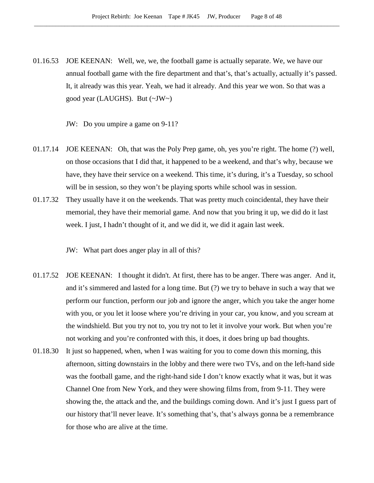01.16.53 JOE KEENAN: Well, we, we, the football game is actually separate. We, we have our annual football game with the fire department and that's, that's actually, actually it's passed. It, it already was this year. Yeah, we had it already. And this year we won. So that was a good year (LAUGHS). But (~JW~)

JW: Do you umpire a game on 9-11?

- 01.17.14 JOE KEENAN: Oh, that was the Poly Prep game, oh, yes you're right. The home (?) well, on those occasions that I did that, it happened to be a weekend, and that's why, because we have, they have their service on a weekend. This time, it's during, it's a Tuesday, so school will be in session, so they won't be playing sports while school was in session.
- 01.17.32 They usually have it on the weekends. That was pretty much coincidental, they have their memorial, they have their memorial game. And now that you bring it up, we did do it last week. I just, I hadn't thought of it, and we did it, we did it again last week.
	- JW: What part does anger play in all of this?
- 01.17.52 JOE KEENAN: I thought it didn't. At first, there has to be anger. There was anger. And it, and it's simmered and lasted for a long time. But (?) we try to behave in such a way that we perform our function, perform our job and ignore the anger, which you take the anger home with you, or you let it loose where you're driving in your car, you know, and you scream at the windshield. But you try not to, you try not to let it involve your work. But when you're not working and you're confronted with this, it does, it does bring up bad thoughts.
- 01.18.30 It just so happened, when, when I was waiting for you to come down this morning, this afternoon, sitting downstairs in the lobby and there were two TVs, and on the left-hand side was the football game, and the right-hand side I don't know exactly what it was, but it was Channel One from New York, and they were showing films from, from 9-11. They were showing the, the attack and the, and the buildings coming down. And it's just I guess part of our history that'll never leave. It's something that's, that's always gonna be a remembrance for those who are alive at the time.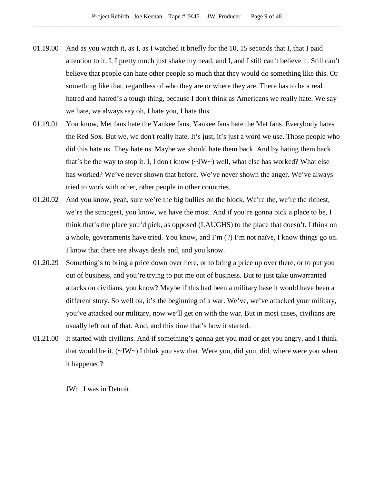- 01.19.00 And as you watch it, as I, as I watched it briefly for the 10, 15 seconds that I, that I paid attention to it, I, I pretty much just shake my head, and I, and I still can't believe it. Still can't believe that people can hate other people so much that they would do something like this. Or something like that, regardless of who they are or where they are. There has to be a real hatred and hatred's a tough thing, because I don't think as Americans we really hate. We say we hate, we always say oh, I hate you, I hate this.
- 01.19.01 You know, Met fans hate the Yankee fans, Yankee fans hate the Met fans. Everybody hates the Red Sox. But we, we don't really hate. It's just, it's just a word we use. Those people who did this hate us. They hate us. Maybe we should hate them back. And by hating them back that's be the way to stop it. I, I don't know (~JW~) well, what else has worked? What else has worked? We've never shown that before. We've never shown the anger. We've always tried to work with other, other people in other countries.
- 01.20.02 And you know, yeah, sure we're the big bullies on the block. We're the, we're the richest, we're the strongest, you know, we have the most. And if you're gonna pick a place to be, I think that's the place you'd pick, as opposed (LAUGHS) to the place that doesn't. I think on a whole, governments have tried. You know, and I'm (?) I'm not naïve, I know things go on. I know that there are always deals and, and you know.
- 01.20.29 Something's to bring a price down over here, or to bring a price up over there, or to put you out of business, and you're trying to put me out of business. But to just take unwarranted attacks on civilians, you know? Maybe if this had been a military base it would have been a different story. So well ok, it's the beginning of a war. We've, we've attacked your military, you've attacked our military, now we'll get on with the war. But in most cases, civilians are usually left out of that. And, and this time that's how it started.
- 01.21.00 It started with civilians. And if something's gonna get you mad or get you angry, and I think that would be it. (~JW~) I think you saw that. Were you, did you, did, where were you when it happened?

JW: I was in Detroit.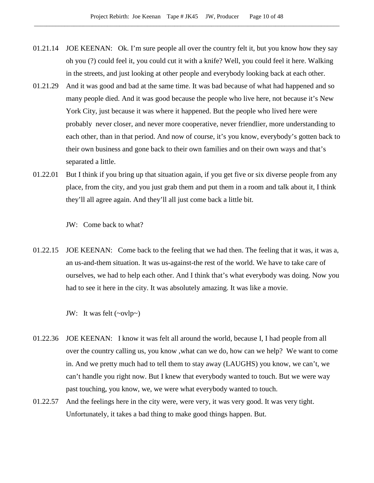- 01.21.14 JOE KEENAN: Ok. I'm sure people all over the country felt it, but you know how they say oh you (?) could feel it, you could cut it with a knife? Well, you could feel it here. Walking in the streets, and just looking at other people and everybody looking back at each other.
- 01.21.29 And it was good and bad at the same time. It was bad because of what had happened and so many people died. And it was good because the people who live here, not because it's New York City, just because it was where it happened. But the people who lived here were probably never closer, and never more cooperative, never friendlier, more understanding to each other, than in that period. And now of course, it's you know, everybody's gotten back to their own business and gone back to their own families and on their own ways and that's separated a little.
- 01.22.01 But I think if you bring up that situation again, if you get five or six diverse people from any place, from the city, and you just grab them and put them in a room and talk about it, I think they'll all agree again. And they'll all just come back a little bit.

JW: Come back to what?

01.22.15 JOE KEENAN: Come back to the feeling that we had then. The feeling that it was, it was a, an us-and-them situation. It was us-against-the rest of the world. We have to take care of ourselves, we had to help each other. And I think that's what everybody was doing. Now you had to see it here in the city. It was absolutely amazing. It was like a movie.

JW: It was felt  $(\sim ovlp\sim)$ 

- 01.22.36 JOE KEENAN: I know it was felt all around the world, because I, I had people from all over the country calling us, you know ,what can we do, how can we help? We want to come in. And we pretty much had to tell them to stay away (LAUGHS) you know, we can't, we can't handle you right now. But I knew that everybody wanted to touch. But we were way past touching, you know, we, we were what everybody wanted to touch.
- 01.22.57 And the feelings here in the city were, were very, it was very good. It was very tight. Unfortunately, it takes a bad thing to make good things happen. But.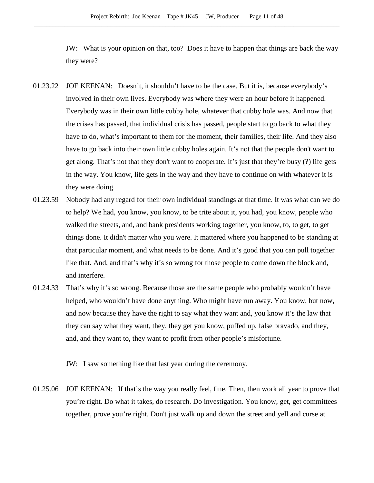JW: What is your opinion on that, too? Does it have to happen that things are back the way they were?

- 01.23.22 JOE KEENAN: Doesn't, it shouldn't have to be the case. But it is, because everybody's involved in their own lives. Everybody was where they were an hour before it happened. Everybody was in their own little cubby hole, whatever that cubby hole was. And now that the crises has passed, that individual crisis has passed, people start to go back to what they have to do, what's important to them for the moment, their families, their life. And they also have to go back into their own little cubby holes again. It's not that the people don't want to get along. That's not that they don't want to cooperate. It's just that they're busy (?) life gets in the way. You know, life gets in the way and they have to continue on with whatever it is they were doing.
- 01.23.59 Nobody had any regard for their own individual standings at that time. It was what can we do to help? We had, you know, you know, to be trite about it, you had, you know, people who walked the streets, and, and bank presidents working together, you know, to, to get, to get things done. It didn't matter who you were. It mattered where you happened to be standing at that particular moment, and what needs to be done. And it's good that you can pull together like that. And, and that's why it's so wrong for those people to come down the block and, and interfere.
- 01.24.33 That's why it's so wrong. Because those are the same people who probably wouldn't have helped, who wouldn't have done anything. Who might have run away. You know, but now, and now because they have the right to say what they want and, you know it's the law that they can say what they want, they, they get you know, puffed up, false bravado, and they, and, and they want to, they want to profit from other people's misfortune.

JW: I saw something like that last year during the ceremony.

01.25.06 JOE KEENAN: If that's the way you really feel, fine. Then, then work all year to prove that you're right. Do what it takes, do research. Do investigation. You know, get, get committees together, prove you're right. Don't just walk up and down the street and yell and curse at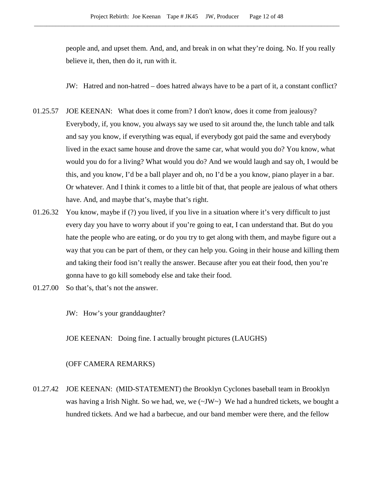people and, and upset them. And, and, and break in on what they're doing. No. If you really believe it, then, then do it, run with it.

JW: Hatred and non-hatred – does hatred always have to be a part of it, a constant conflict?

- 01.25.57 JOE KEENAN: What does it come from? I don't know, does it come from jealousy? Everybody, if, you know, you always say we used to sit around the, the lunch table and talk and say you know, if everything was equal, if everybody got paid the same and everybody lived in the exact same house and drove the same car, what would you do? You know, what would you do for a living? What would you do? And we would laugh and say oh, I would be this, and you know, I'd be a ball player and oh, no I'd be a you know, piano player in a bar. Or whatever. And I think it comes to a little bit of that, that people are jealous of what others have. And, and maybe that's, maybe that's right.
- 01.26.32 You know, maybe if (?) you lived, if you live in a situation where it's very difficult to just every day you have to worry about if you're going to eat, I can understand that. But do you hate the people who are eating, or do you try to get along with them, and maybe figure out a way that you can be part of them, or they can help you. Going in their house and killing them and taking their food isn't really the answer. Because after you eat their food, then you're gonna have to go kill somebody else and take their food.
- 01.27.00 So that's, that's not the answer.

JW: How's your granddaughter?

JOE KEENAN: Doing fine. I actually brought pictures (LAUGHS)

# (OFF CAMERA REMARKS)

01.27.42 JOE KEENAN: (MID-STATEMENT) the Brooklyn Cyclones baseball team in Brooklyn was having a Irish Night. So we had, we, we  $(\sim JW \sim)$  We had a hundred tickets, we bought a hundred tickets. And we had a barbecue, and our band member were there, and the fellow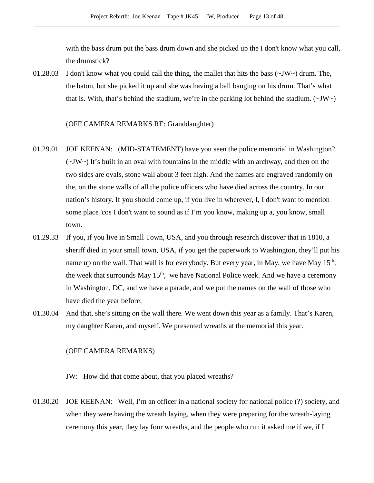with the bass drum put the bass drum down and she picked up the I don't know what you call, the drumstick?

01.28.03 I don't know what you could call the thing, the mallet that hits the bass (~JW~) drum. The, the baton, but she picked it up and she was having a ball banging on his drum. That's what that is. With, that's behind the stadium, we're in the parking lot behind the stadium.  $(\sim JW \sim)$ 

(OFF CAMERA REMARKS RE: Granddaughter)

- 01.29.01 JOE KEENAN: (MID-STATEMENT) have you seen the police memorial in Washington?  $(\sim JW)$  It's built in an oval with fountains in the middle with an archway, and then on the two sides are ovals, stone wall about 3 feet high. And the names are engraved randomly on the, on the stone walls of all the police officers who have died across the country. In our nation's history. If you should come up, if you live in wherever, I, I don't want to mention some place 'cos I don't want to sound as if I'm you know, making up a, you know, small town.
- 01.29.33 If you, if you live in Small Town, USA, and you through research discover that in 1810, a sheriff died in your small town, USA, if you get the paperwork to Washington, they'll put his name up on the wall. That wall is for everybody. But every year, in May, we have May  $15<sup>th</sup>$ , the week that surrounds May  $15<sup>th</sup>$ , we have National Police week. And we have a ceremony in Washington, DC, and we have a parade, and we put the names on the wall of those who have died the year before.
- 01.30.04 And that, she's sitting on the wall there. We went down this year as a family. That's Karen, my daughter Karen, and myself. We presented wreaths at the memorial this year.

#### (OFF CAMERA REMARKS)

JW: How did that come about, that you placed wreaths?

01.30.20 JOE KEENAN: Well, I'm an officer in a national society for national police (?) society, and when they were having the wreath laying, when they were preparing for the wreath-laying ceremony this year, they lay four wreaths, and the people who run it asked me if we, if I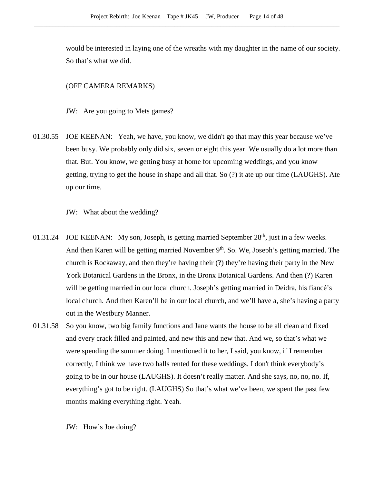would be interested in laying one of the wreaths with my daughter in the name of our society. So that's what we did.

#### (OFF CAMERA REMARKS)

JW: Are you going to Mets games?

01.30.55 JOE KEENAN: Yeah, we have, you know, we didn't go that may this year because we've been busy. We probably only did six, seven or eight this year. We usually do a lot more than that. But. You know, we getting busy at home for upcoming weddings, and you know getting, trying to get the house in shape and all that. So (?) it ate up our time (LAUGHS). Ate up our time.

JW: What about the wedding?

- 01.31.24 JOE KEENAN: My son, Joseph, is getting married September  $28<sup>th</sup>$ , just in a few weeks. And then Karen will be getting married November  $9<sup>th</sup>$ . So. We, Joseph's getting married. The church is Rockaway, and then they're having their (?) they're having their party in the New York Botanical Gardens in the Bronx, in the Bronx Botanical Gardens. And then (?) Karen will be getting married in our local church. Joseph's getting married in Deidra, his fiancé's local church. And then Karen'll be in our local church, and we'll have a, she's having a party out in the Westbury Manner.
- 01.31.58 So you know, two big family functions and Jane wants the house to be all clean and fixed and every crack filled and painted, and new this and new that. And we, so that's what we were spending the summer doing. I mentioned it to her, I said, you know, if I remember correctly, I think we have two halls rented for these weddings. I don't think everybody's going to be in our house (LAUGHS). It doesn't really matter. And she says, no, no, no. If, everything's got to be right. (LAUGHS) So that's what we've been, we spent the past few months making everything right. Yeah.

JW: How's Joe doing?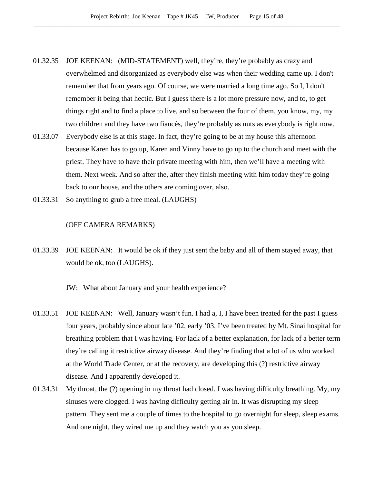- 01.32.35 JOE KEENAN: (MID-STATEMENT) well, they're, they're probably as crazy and overwhelmed and disorganized as everybody else was when their wedding came up. I don't remember that from years ago. Of course, we were married a long time ago. So I, I don't remember it being that hectic. But I guess there is a lot more pressure now, and to, to get things right and to find a place to live, and so between the four of them, you know, my, my two children and they have two fiancés, they're probably as nuts as everybody is right now.
- 01.33.07 Everybody else is at this stage. In fact, they're going to be at my house this afternoon because Karen has to go up, Karen and Vinny have to go up to the church and meet with the priest. They have to have their private meeting with him, then we'll have a meeting with them. Next week. And so after the, after they finish meeting with him today they're going back to our house, and the others are coming over, also.
- 01.33.31 So anything to grub a free meal. (LAUGHS)

# (OFF CAMERA REMARKS)

01.33.39 JOE KEENAN: It would be ok if they just sent the baby and all of them stayed away, that would be ok, too (LAUGHS).

JW: What about January and your health experience?

- 01.33.51 JOE KEENAN: Well, January wasn't fun. I had a, I, I have been treated for the past I guess four years, probably since about late '02, early '03, I've been treated by Mt. Sinai hospital for breathing problem that I was having. For lack of a better explanation, for lack of a better term they're calling it restrictive airway disease. And they're finding that a lot of us who worked at the World Trade Center, or at the recovery, are developing this (?) restrictive airway disease. And I apparently developed it.
- 01.34.31 My throat, the (?) opening in my throat had closed. I was having difficulty breathing. My, my sinuses were clogged. I was having difficulty getting air in. It was disrupting my sleep pattern. They sent me a couple of times to the hospital to go overnight for sleep, sleep exams. And one night, they wired me up and they watch you as you sleep.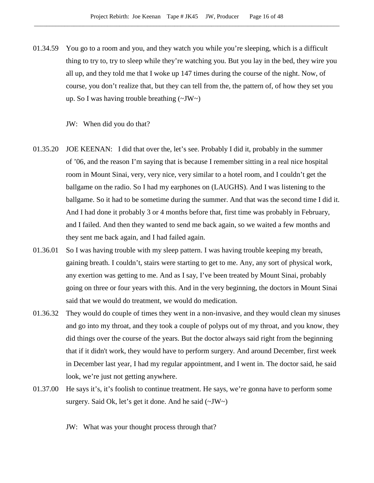01.34.59 You go to a room and you, and they watch you while you're sleeping, which is a difficult thing to try to, try to sleep while they're watching you. But you lay in the bed, they wire you all up, and they told me that I woke up 147 times during the course of the night. Now, of course, you don't realize that, but they can tell from the, the pattern of, of how they set you up. So I was having trouble breathing (~JW~)

JW: When did you do that?

- 01.35.20 JOE KEENAN: I did that over the, let's see. Probably I did it, probably in the summer of '06, and the reason I'm saying that is because I remember sitting in a real nice hospital room in Mount Sinai, very, very nice, very similar to a hotel room, and I couldn't get the ballgame on the radio. So I had my earphones on (LAUGHS). And I was listening to the ballgame. So it had to be sometime during the summer. And that was the second time I did it. And I had done it probably 3 or 4 months before that, first time was probably in February, and I failed. And then they wanted to send me back again, so we waited a few months and they sent me back again, and I had failed again.
- 01.36.01 So I was having trouble with my sleep pattern. I was having trouble keeping my breath, gaining breath. I couldn't, stairs were starting to get to me. Any, any sort of physical work, any exertion was getting to me. And as I say, I've been treated by Mount Sinai, probably going on three or four years with this. And in the very beginning, the doctors in Mount Sinai said that we would do treatment, we would do medication.
- 01.36.32 They would do couple of times they went in a non-invasive, and they would clean my sinuses and go into my throat, and they took a couple of polyps out of my throat, and you know, they did things over the course of the years. But the doctor always said right from the beginning that if it didn't work, they would have to perform surgery. And around December, first week in December last year, I had my regular appointment, and I went in. The doctor said, he said look, we're just not getting anywhere.
- 01.37.00 He says it's, it's foolish to continue treatment. He says, we're gonna have to perform some surgery. Said Ok, let's get it done. And he said  $(\sim JW)$

JW: What was your thought process through that?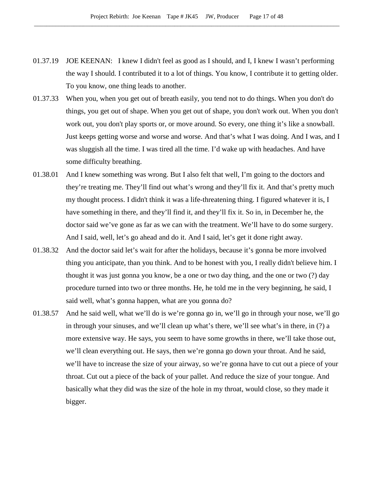- 01.37.19 JOE KEENAN: I knew I didn't feel as good as I should, and I, I knew I wasn't performing the way I should. I contributed it to a lot of things. You know, I contribute it to getting older. To you know, one thing leads to another.
- 01.37.33 When you, when you get out of breath easily, you tend not to do things. When you don't do things, you get out of shape. When you get out of shape, you don't work out. When you don't work out, you don't play sports or, or move around. So every, one thing it's like a snowball. Just keeps getting worse and worse and worse. And that's what I was doing. And I was, and I was sluggish all the time. I was tired all the time. I'd wake up with headaches. And have some difficulty breathing.
- 01.38.01 And I knew something was wrong. But I also felt that well, I'm going to the doctors and they're treating me. They'll find out what's wrong and they'll fix it. And that's pretty much my thought process. I didn't think it was a life-threatening thing. I figured whatever it is, I have something in there, and they'll find it, and they'll fix it. So in, in December he, the doctor said we've gone as far as we can with the treatment. We'll have to do some surgery. And I said, well, let's go ahead and do it. And I said, let's get it done right away.
- 01.38.32 And the doctor said let's wait for after the holidays, because it's gonna be more involved thing you anticipate, than you think. And to be honest with you, I really didn't believe him. I thought it was just gonna you know, be a one or two day thing, and the one or two (?) day procedure turned into two or three months. He, he told me in the very beginning, he said, I said well, what's gonna happen, what are you gonna do?
- 01.38.57 And he said well, what we'll do is we're gonna go in, we'll go in through your nose, we'll go in through your sinuses, and we'll clean up what's there, we'll see what's in there, in (?) a more extensive way. He says, you seem to have some growths in there, we'll take those out, we'll clean everything out. He says, then we're gonna go down your throat. And he said, we'll have to increase the size of your airway, so we're gonna have to cut out a piece of your throat. Cut out a piece of the back of your pallet. And reduce the size of your tongue. And basically what they did was the size of the hole in my throat, would close, so they made it bigger.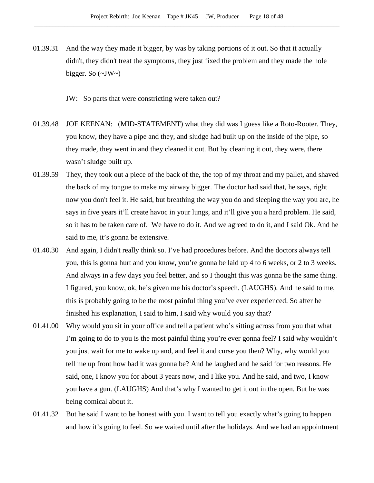- 01.39.31 And the way they made it bigger, by was by taking portions of it out. So that it actually didn't, they didn't treat the symptoms, they just fixed the problem and they made the hole bigger. So  $(\sim JW)$ 
	- JW: So parts that were constricting were taken out?
- 01.39.48 JOE KEENAN: (MID-STATEMENT) what they did was I guess like a Roto-Rooter. They, you know, they have a pipe and they, and sludge had built up on the inside of the pipe, so they made, they went in and they cleaned it out. But by cleaning it out, they were, there wasn't sludge built up.
- 01.39.59 They, they took out a piece of the back of the, the top of my throat and my pallet, and shaved the back of my tongue to make my airway bigger. The doctor had said that, he says, right now you don't feel it. He said, but breathing the way you do and sleeping the way you are, he says in five years it'll create havoc in your lungs, and it'll give you a hard problem. He said, so it has to be taken care of. We have to do it. And we agreed to do it, and I said Ok. And he said to me, it's gonna be extensive.
- 01.40.30 And again, I didn't really think so. I've had procedures before. And the doctors always tell you, this is gonna hurt and you know, you're gonna be laid up 4 to 6 weeks, or 2 to 3 weeks. And always in a few days you feel better, and so I thought this was gonna be the same thing. I figured, you know, ok, he's given me his doctor's speech. (LAUGHS). And he said to me, this is probably going to be the most painful thing you've ever experienced. So after he finished his explanation, I said to him, I said why would you say that?
- 01.41.00 Why would you sit in your office and tell a patient who's sitting across from you that what I'm going to do to you is the most painful thing you're ever gonna feel? I said why wouldn't you just wait for me to wake up and, and feel it and curse you then? Why, why would you tell me up front how bad it was gonna be? And he laughed and he said for two reasons. He said, one, I know you for about 3 years now, and I like you. And he said, and two, I know you have a gun. (LAUGHS) And that's why I wanted to get it out in the open. But he was being comical about it.
- 01.41.32 But he said I want to be honest with you. I want to tell you exactly what's going to happen and how it's going to feel. So we waited until after the holidays. And we had an appointment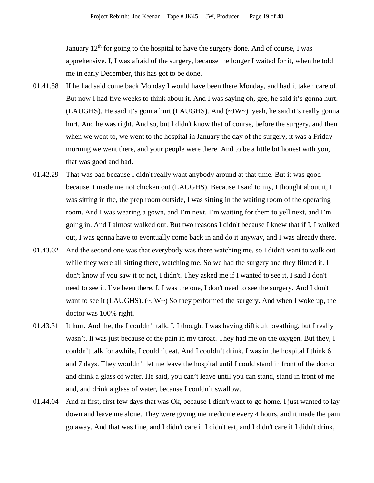January 12<sup>th</sup> for going to the hospital to have the surgery done. And of course, I was apprehensive. I, I was afraid of the surgery, because the longer I waited for it, when he told me in early December, this has got to be done.

- 01.41.58 If he had said come back Monday I would have been there Monday, and had it taken care of. But now I had five weeks to think about it. And I was saying oh, gee, he said it's gonna hurt. (LAUGHS). He said it's gonna hurt (LAUGHS). And (~JW~) yeah, he said it's really gonna hurt. And he was right. And so, but I didn't know that of course, before the surgery, and then when we went to, we went to the hospital in January the day of the surgery, it was a Friday morning we went there, and your people were there. And to be a little bit honest with you, that was good and bad.
- 01.42.29 That was bad because I didn't really want anybody around at that time. But it was good because it made me not chicken out (LAUGHS). Because I said to my, I thought about it, I was sitting in the, the prep room outside, I was sitting in the waiting room of the operating room. And I was wearing a gown, and I'm next. I'm waiting for them to yell next, and I'm going in. And I almost walked out. But two reasons I didn't because I knew that if I, I walked out, I was gonna have to eventually come back in and do it anyway, and I was already there.
- 01.43.02 And the second one was that everybody was there watching me, so I didn't want to walk out while they were all sitting there, watching me. So we had the surgery and they filmed it. I don't know if you saw it or not, I didn't. They asked me if I wanted to see it, I said I don't need to see it. I've been there, I, I was the one, I don't need to see the surgery. And I don't want to see it (LAUGHS).  $(\sim JW \sim)$  So they performed the surgery. And when I woke up, the doctor was 100% right.
- 01.43.31 It hurt. And the, the I couldn't talk. I, I thought I was having difficult breathing, but I really wasn't. It was just because of the pain in my throat. They had me on the oxygen. But they, I couldn't talk for awhile, I couldn't eat. And I couldn't drink. I was in the hospital I think 6 and 7 days. They wouldn't let me leave the hospital until I could stand in front of the doctor and drink a glass of water. He said, you can't leave until you can stand, stand in front of me and, and drink a glass of water, because I couldn't swallow.
- 01.44.04 And at first, first few days that was Ok, because I didn't want to go home. I just wanted to lay down and leave me alone. They were giving me medicine every 4 hours, and it made the pain go away. And that was fine, and I didn't care if I didn't eat, and I didn't care if I didn't drink,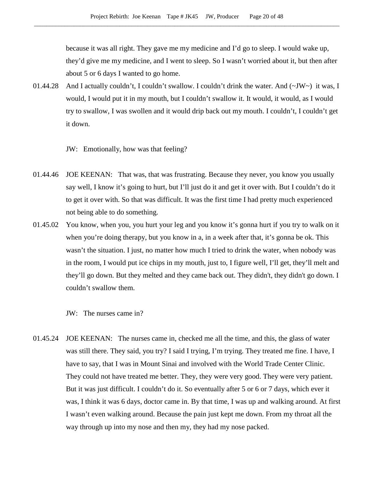because it was all right. They gave me my medicine and I'd go to sleep. I would wake up, they'd give me my medicine, and I went to sleep. So I wasn't worried about it, but then after about 5 or 6 days I wanted to go home.

- 01.44.28 And I actually couldn't, I couldn't swallow. I couldn't drink the water. And (~JW~) it was, I would, I would put it in my mouth, but I couldn't swallow it. It would, it would, as I would try to swallow, I was swollen and it would drip back out my mouth. I couldn't, I couldn't get it down.
	- JW: Emotionally, how was that feeling?
- 01.44.46 JOE KEENAN: That was, that was frustrating. Because they never, you know you usually say well, I know it's going to hurt, but I'll just do it and get it over with. But I couldn't do it to get it over with. So that was difficult. It was the first time I had pretty much experienced not being able to do something.
- 01.45.02 You know, when you, you hurt your leg and you know it's gonna hurt if you try to walk on it when you're doing therapy, but you know in a, in a week after that, it's gonna be ok. This wasn't the situation. I just, no matter how much I tried to drink the water, when nobody was in the room, I would put ice chips in my mouth, just to, I figure well, I'll get, they'll melt and they'll go down. But they melted and they came back out. They didn't, they didn't go down. I couldn't swallow them.
	- JW: The nurses came in?
- 01.45.24 JOE KEENAN: The nurses came in, checked me all the time, and this, the glass of water was still there. They said, you try? I said I trying, I'm trying. They treated me fine. I have, I have to say, that I was in Mount Sinai and involved with the World Trade Center Clinic. They could not have treated me better. They, they were very good. They were very patient. But it was just difficult. I couldn't do it. So eventually after 5 or 6 or 7 days, which ever it was, I think it was 6 days, doctor came in. By that time, I was up and walking around. At first I wasn't even walking around. Because the pain just kept me down. From my throat all the way through up into my nose and then my, they had my nose packed.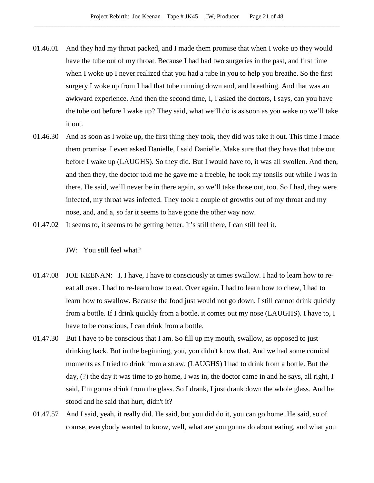- 01.46.01 And they had my throat packed, and I made them promise that when I woke up they would have the tube out of my throat. Because I had had two surgeries in the past, and first time when I woke up I never realized that you had a tube in you to help you breathe. So the first surgery I woke up from I had that tube running down and, and breathing. And that was an awkward experience. And then the second time, I, I asked the doctors, I says, can you have the tube out before I wake up? They said, what we'll do is as soon as you wake up we'll take it out.
- 01.46.30 And as soon as I woke up, the first thing they took, they did was take it out. This time I made them promise. I even asked Danielle, I said Danielle. Make sure that they have that tube out before I wake up (LAUGHS). So they did. But I would have to, it was all swollen. And then, and then they, the doctor told me he gave me a freebie, he took my tonsils out while I was in there. He said, we'll never be in there again, so we'll take those out, too. So I had, they were infected, my throat was infected. They took a couple of growths out of my throat and my nose, and, and a, so far it seems to have gone the other way now.
- 01.47.02 It seems to, it seems to be getting better. It's still there, I can still feel it.

JW: You still feel what?

- 01.47.08 JOE KEENAN: I, I have, I have to consciously at times swallow. I had to learn how to reeat all over. I had to re-learn how to eat. Over again. I had to learn how to chew, I had to learn how to swallow. Because the food just would not go down. I still cannot drink quickly from a bottle. If I drink quickly from a bottle, it comes out my nose (LAUGHS). I have to, I have to be conscious, I can drink from a bottle.
- 01.47.30 But I have to be conscious that I am. So fill up my mouth, swallow, as opposed to just drinking back. But in the beginning, you, you didn't know that. And we had some comical moments as I tried to drink from a straw. (LAUGHS) I had to drink from a bottle. But the day, (?) the day it was time to go home, I was in, the doctor came in and he says, all right, I said, I'm gonna drink from the glass. So I drank, I just drank down the whole glass. And he stood and he said that hurt, didn't it?
- 01.47.57 And I said, yeah, it really did. He said, but you did do it, you can go home. He said, so of course, everybody wanted to know, well, what are you gonna do about eating, and what you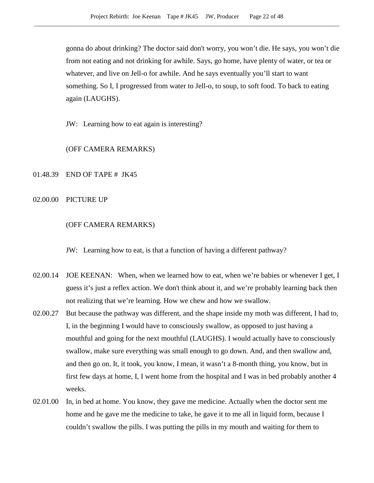gonna do about drinking? The doctor said don't worry, you won't die. He says, you won't die from not eating and not drinking for awhile. Says, go home, have plenty of water, or tea or whatever, and live on Jell-o for awhile. And he says eventually you'll start to want something. So I, I progressed from water to Jell-o, to soup, to soft food. To back to eating again (LAUGHS).

JW: Learning how to eat again is interesting?

# (OFF CAMERA REMARKS)

- 01.48.39 END OF TAPE # JK45
- 02.00.00 PICTURE UP

# (OFF CAMERA REMARKS)

JW: Learning how to eat, is that a function of having a different pathway?

- 02.00.14 JOE KEENAN: When, when we learned how to eat, when we're babies or whenever I get, I guess it's just a reflex action. We don't think about it, and we're probably learning back then not realizing that we're learning. How we chew and how we swallow.
- 02.00.27 But because the pathway was different, and the shape inside my moth was different, I had to, I, in the beginning I would have to consciously swallow, as opposed to just having a mouthful and going for the next mouthful (LAUGHS). I would actually have to consciously swallow, make sure everything was small enough to go down. And, and then swallow and, and then go on. It, it took, you know, I mean, it wasn't a 8-month thing, you know, but in first few days at home, I, I went home from the hospital and I was in bed probably another 4 weeks.
- 02.01.00 In, in bed at home. You know, they gave me medicine. Actually when the doctor sent me home and he gave me the medicine to take, he gave it to me all in liquid form, because I couldn't swallow the pills. I was putting the pills in my mouth and waiting for them to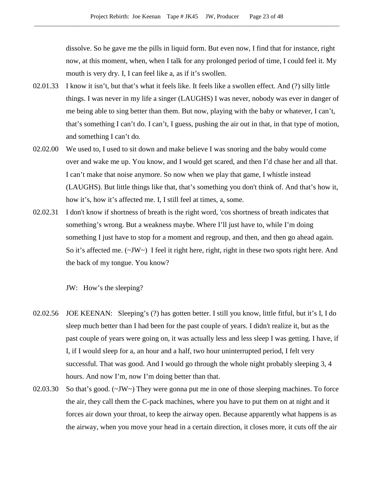dissolve. So he gave me the pills in liquid form. But even now, I find that for instance, right now, at this moment, when, when I talk for any prolonged period of time, I could feel it. My mouth is very dry. I, I can feel like a, as if it's swollen.

- 02.01.33 I know it isn't, but that's what it feels like. It feels like a swollen effect. And (?) silly little things. I was never in my life a singer (LAUGHS) I was never, nobody was ever in danger of me being able to sing better than them. But now, playing with the baby or whatever, I can't, that's something I can't do. I can't, I guess, pushing the air out in that, in that type of motion, and something I can't do.
- 02.02.00 We used to, I used to sit down and make believe I was snoring and the baby would come over and wake me up. You know, and I would get scared, and then I'd chase her and all that. I can't make that noise anymore. So now when we play that game, I whistle instead (LAUGHS). But little things like that, that's something you don't think of. And that's how it, how it's, how it's affected me. I, I still feel at times, a, some.
- 02.02.31 I don't know if shortness of breath is the right word, 'cos shortness of breath indicates that something's wrong. But a weakness maybe. Where I'll just have to, while I'm doing something I just have to stop for a moment and regroup, and then, and then go ahead again. So it's affected me. (~JW~) I feel it right here, right, right in these two spots right here. And the back of my tongue. You know?

JW: How's the sleeping?

- 02.02.56 JOE KEENAN: Sleeping's (?) has gotten better. I still you know, little fitful, but it's I, I do sleep much better than I had been for the past couple of years. I didn't realize it, but as the past couple of years were going on, it was actually less and less sleep I was getting. I have, if I, if I would sleep for a, an hour and a half, two hour uninterrupted period, I felt very successful. That was good. And I would go through the whole night probably sleeping 3, 4 hours. And now I'm, now I'm doing better than that.
- 02.03.30 So that's good. (~JW~) They were gonna put me in one of those sleeping machines. To force the air, they call them the C-pack machines, where you have to put them on at night and it forces air down your throat, to keep the airway open. Because apparently what happens is as the airway, when you move your head in a certain direction, it closes more, it cuts off the air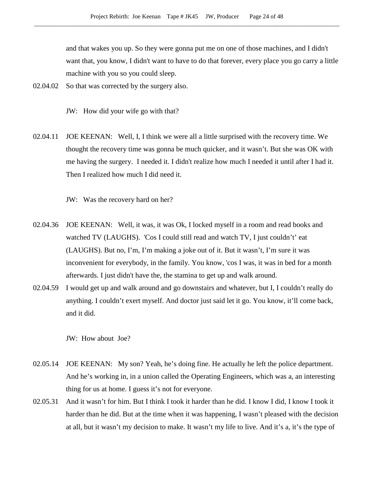and that wakes you up. So they were gonna put me on one of those machines, and I didn't want that, you know, I didn't want to have to do that forever, every place you go carry a little machine with you so you could sleep.

02.04.02 So that was corrected by the surgery also.

JW: How did your wife go with that?

02.04.11 JOE KEENAN: Well, I, I think we were all a little surprised with the recovery time. We thought the recovery time was gonna be much quicker, and it wasn't. But she was OK with me having the surgery. I needed it. I didn't realize how much I needed it until after I had it. Then I realized how much I did need it.

JW: Was the recovery hard on her?

- 02.04.36 JOE KEENAN: Well, it was, it was Ok, I locked myself in a room and read books and watched TV (LAUGHS). 'Cos I could still read and watch TV, I just couldn't' eat (LAUGHS). But no, I'm, I'm making a joke out of it. But it wasn't, I'm sure it was inconvenient for everybody, in the family. You know, 'cos I was, it was in bed for a month afterwards. I just didn't have the, the stamina to get up and walk around.
- 02.04.59 I would get up and walk around and go downstairs and whatever, but I, I couldn't really do anything. I couldn't exert myself. And doctor just said let it go. You know, it'll come back, and it did.

JW: How about Joe?

- 02.05.14 JOE KEENAN: My son? Yeah, he's doing fine. He actually he left the police department. And he's working in, in a union called the Operating Engineers, which was a, an interesting thing for us at home. I guess it's not for everyone.
- 02.05.31 And it wasn't for him. But I think I took it harder than he did. I know I did, I know I took it harder than he did. But at the time when it was happening, I wasn't pleased with the decision at all, but it wasn't my decision to make. It wasn't my life to live. And it's a, it's the type of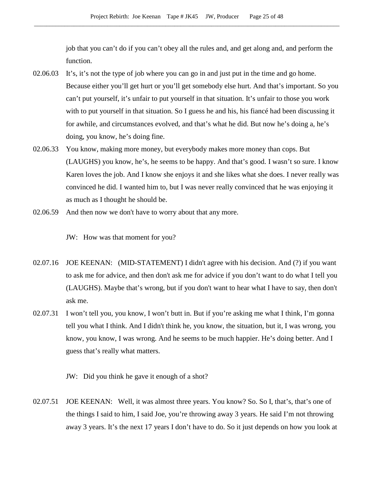job that you can't do if you can't obey all the rules and, and get along and, and perform the function.

- 02.06.03 It's, it's not the type of job where you can go in and just put in the time and go home. Because either you'll get hurt or you'll get somebody else hurt. And that's important. So you can't put yourself, it's unfair to put yourself in that situation. It's unfair to those you work with to put yourself in that situation. So I guess he and his, his fiancé had been discussing it for awhile, and circumstances evolved, and that's what he did. But now he's doing a, he's doing, you know, he's doing fine.
- 02.06.33 You know, making more money, but everybody makes more money than cops. But (LAUGHS) you know, he's, he seems to be happy. And that's good. I wasn't so sure. I know Karen loves the job. And I know she enjoys it and she likes what she does. I never really was convinced he did. I wanted him to, but I was never really convinced that he was enjoying it as much as I thought he should be.
- 02.06.59 And then now we don't have to worry about that any more.

JW: How was that moment for you?

- 02.07.16 JOE KEENAN: (MID-STATEMENT) I didn't agree with his decision. And (?) if you want to ask me for advice, and then don't ask me for advice if you don't want to do what I tell you (LAUGHS). Maybe that's wrong, but if you don't want to hear what I have to say, then don't ask me.
- 02.07.31 I won't tell you, you know, I won't butt in. But if you're asking me what I think, I'm gonna tell you what I think. And I didn't think he, you know, the situation, but it, I was wrong, you know, you know, I was wrong. And he seems to be much happier. He's doing better. And I guess that's really what matters.

JW: Did you think he gave it enough of a shot?

02.07.51 JOE KEENAN: Well, it was almost three years. You know? So. So I, that's, that's one of the things I said to him, I said Joe, you're throwing away 3 years. He said I'm not throwing away 3 years. It's the next 17 years I don't have to do. So it just depends on how you look at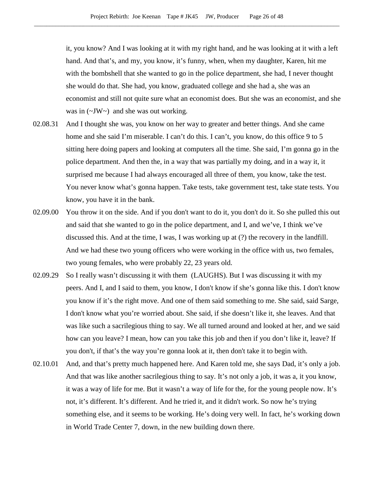it, you know? And I was looking at it with my right hand, and he was looking at it with a left hand. And that's, and my, you know, it's funny, when, when my daughter, Karen, hit me with the bombshell that she wanted to go in the police department, she had, I never thought she would do that. She had, you know, graduated college and she had a, she was an economist and still not quite sure what an economist does. But she was an economist, and she was in  $(\sim JW)$  and she was out working.

- 02.08.31 And I thought she was, you know on her way to greater and better things. And she came home and she said I'm miserable. I can't do this. I can't, you know, do this office 9 to 5 sitting here doing papers and looking at computers all the time. She said, I'm gonna go in the police department. And then the, in a way that was partially my doing, and in a way it, it surprised me because I had always encouraged all three of them, you know, take the test. You never know what's gonna happen. Take tests, take government test, take state tests. You know, you have it in the bank.
- 02.09.00 You throw it on the side. And if you don't want to do it, you don't do it. So she pulled this out and said that she wanted to go in the police department, and I, and we've, I think we've discussed this. And at the time, I was, I was working up at (?) the recovery in the landfill. And we had these two young officers who were working in the office with us, two females, two young females, who were probably 22, 23 years old.
- 02.09.29 So I really wasn't discussing it with them (LAUGHS). But I was discussing it with my peers. And I, and I said to them, you know, I don't know if she's gonna like this. I don't know you know if it's the right move. And one of them said something to me. She said, said Sarge, I don't know what you're worried about. She said, if she doesn't like it, she leaves. And that was like such a sacrilegious thing to say. We all turned around and looked at her, and we said how can you leave? I mean, how can you take this job and then if you don't like it, leave? If you don't, if that's the way you're gonna look at it, then don't take it to begin with.
- 02.10.01 And, and that's pretty much happened here. And Karen told me, she says Dad, it's only a job. And that was like another sacrilegious thing to say. It's not only a job, it was a, it you know, it was a way of life for me. But it wasn't a way of life for the, for the young people now. It's not, it's different. It's different. And he tried it, and it didn't work. So now he's trying something else, and it seems to be working. He's doing very well. In fact, he's working down in World Trade Center 7, down, in the new building down there.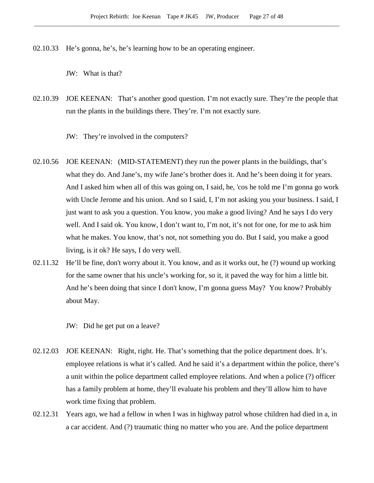02.10.33 He's gonna, he's, he's learning how to be an operating engineer.

JW: What is that?

02.10.39 JOE KEENAN: That's another good question. I'm not exactly sure. They're the people that run the plants in the buildings there. They're. I'm not exactly sure.

JW: They're involved in the computers?

- 02.10.56 JOE KEENAN: (MID-STATEMENT) they run the power plants in the buildings, that's what they do. And Jane's, my wife Jane's brother does it. And he's been doing it for years. And I asked him when all of this was going on, I said, he, 'cos he told me I'm gonna go work with Uncle Jerome and his union. And so I said, I, I'm not asking you your business. I said, I just want to ask you a question. You know, you make a good living? And he says I do very well. And I said ok. You know, I don't want to, I'm not, it's not for one, for me to ask him what he makes. You know, that's not, not something you do. But I said, you make a good living, is it ok? He says, I do very well.
- 02.11.32 He'll be fine, don't worry about it. You know, and as it works out, he (?) wound up working for the same owner that his uncle's working for, so it, it paved the way for him a little bit. And he's been doing that since I don't know, I'm gonna guess May? You know? Probably about May.

JW: Did he get put on a leave?

- 02.12.03 JOE KEENAN: Right, right. He. That's something that the police department does. It's. employee relations is what it's called. And he said it's a department within the police, there's a unit within the police department called employee relations. And when a police (?) officer has a family problem at home, they'll evaluate his problem and they'll allow him to have work time fixing that problem.
- 02.12.31 Years ago, we had a fellow in when I was in highway patrol whose children had died in a, in a car accident. And (?) traumatic thing no matter who you are. And the police department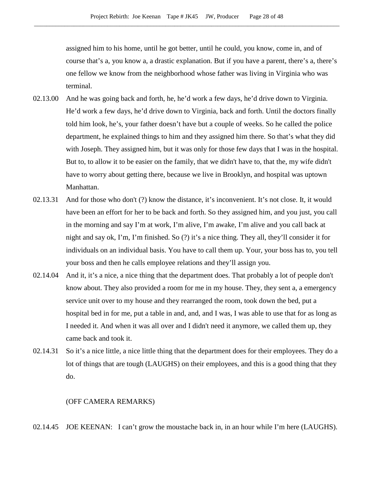assigned him to his home, until he got better, until he could, you know, come in, and of course that's a, you know a, a drastic explanation. But if you have a parent, there's a, there's one fellow we know from the neighborhood whose father was living in Virginia who was terminal.

- 02.13.00 And he was going back and forth, he, he'd work a few days, he'd drive down to Virginia. He'd work a few days, he'd drive down to Virginia, back and forth. Until the doctors finally told him look, he's, your father doesn't have but a couple of weeks. So he called the police department, he explained things to him and they assigned him there. So that's what they did with Joseph. They assigned him, but it was only for those few days that I was in the hospital. But to, to allow it to be easier on the family, that we didn't have to, that the, my wife didn't have to worry about getting there, because we live in Brooklyn, and hospital was uptown Manhattan.
- 02.13.31 And for those who don't (?) know the distance, it's inconvenient. It's not close. It, it would have been an effort for her to be back and forth. So they assigned him, and you just, you call in the morning and say I'm at work, I'm alive, I'm awake, I'm alive and you call back at night and say ok, I'm, I'm finished. So (?) it's a nice thing. They all, they'll consider it for individuals on an individual basis. You have to call them up. Your, your boss has to, you tell your boss and then he calls employee relations and they'll assign you.
- 02.14.04 And it, it's a nice, a nice thing that the department does. That probably a lot of people don't know about. They also provided a room for me in my house. They, they sent a, a emergency service unit over to my house and they rearranged the room, took down the bed, put a hospital bed in for me, put a table in and, and, and I was, I was able to use that for as long as I needed it. And when it was all over and I didn't need it anymore, we called them up, they came back and took it.
- 02.14.31 So it's a nice little, a nice little thing that the department does for their employees. They do a lot of things that are tough (LAUGHS) on their employees, and this is a good thing that they do.

(OFF CAMERA REMARKS)

02.14.45 JOE KEENAN: I can't grow the moustache back in, in an hour while I'm here (LAUGHS).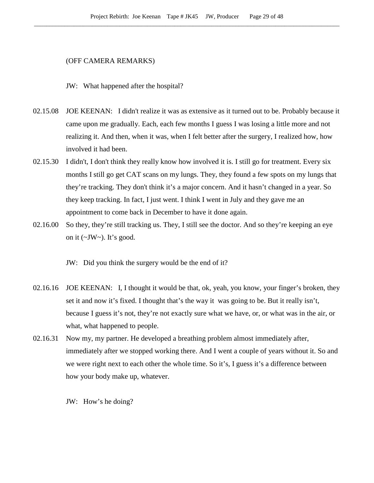# (OFF CAMERA REMARKS)

JW: What happened after the hospital?

- 02.15.08 JOE KEENAN: I didn't realize it was as extensive as it turned out to be. Probably because it came upon me gradually. Each, each few months I guess I was losing a little more and not realizing it. And then, when it was, when I felt better after the surgery, I realized how, how involved it had been.
- 02.15.30 I didn't, I don't think they really know how involved it is. I still go for treatment. Every six months I still go get CAT scans on my lungs. They, they found a few spots on my lungs that they're tracking. They don't think it's a major concern. And it hasn't changed in a year. So they keep tracking. In fact, I just went. I think I went in July and they gave me an appointment to come back in December to have it done again.
- 02.16.00 So they, they're still tracking us. They, I still see the doctor. And so they're keeping an eye on it  $(\sim JW)$ . It's good.

JW: Did you think the surgery would be the end of it?

- 02.16.16 JOE KEENAN: I, I thought it would be that, ok, yeah, you know, your finger's broken, they set it and now it's fixed. I thought that's the way it was going to be. But it really isn't, because I guess it's not, they're not exactly sure what we have, or, or what was in the air, or what, what happened to people.
- 02.16.31 Now my, my partner. He developed a breathing problem almost immediately after, immediately after we stopped working there. And I went a couple of years without it. So and we were right next to each other the whole time. So it's, I guess it's a difference between how your body make up, whatever.

JW: How's he doing?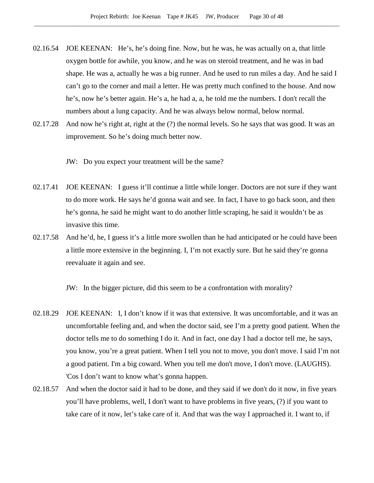- 02.16.54 JOE KEENAN: He's, he's doing fine. Now, but he was, he was actually on a, that little oxygen bottle for awhile, you know, and he was on steroid treatment, and he was in bad shape. He was a, actually he was a big runner. And he used to run miles a day. And he said I can't go to the corner and mail a letter. He was pretty much confined to the house. And now he's, now he's better again. He's a, he had a, a, he told me the numbers. I don't recall the numbers about a lung capacity. And he was always below normal, below normal.
- 02.17.28 And now he's right at, right at the (?) the normal levels. So he says that was good. It was an improvement. So he's doing much better now.

JW: Do you expect your treatment will be the same?

- 02.17.41 JOE KEENAN: I guess it'll continue a little while longer. Doctors are not sure if they want to do more work. He says he'd gonna wait and see. In fact, I have to go back soon, and then he's gonna, he said he might want to do another little scraping, he said it wouldn't be as invasive this time.
- 02.17.58 And he'd, he, I guess it's a little more swollen than he had anticipated or he could have been a little more extensive in the beginning. I, I'm not exactly sure. But he said they're gonna reevaluate it again and see.

JW: In the bigger picture, did this seem to be a confrontation with morality?

- 02.18.29 JOE KEENAN: I, I don't know if it was that extensive. It was uncomfortable, and it was an uncomfortable feeling and, and when the doctor said, see I'm a pretty good patient. When the doctor tells me to do something I do it. And in fact, one day I had a doctor tell me, he says, you know, you're a great patient. When I tell you not to move, you don't move. I said I'm not a good patient. I'm a big coward. When you tell me don't move, I don't move. (LAUGHS). 'Cos I don't want to know what's gonna happen.
- 02.18.57 And when the doctor said it had to be done, and they said if we don't do it now, in five years you'll have problems, well, I don't want to have problems in five years, (?) if you want to take care of it now, let's take care of it. And that was the way I approached it. I want to, if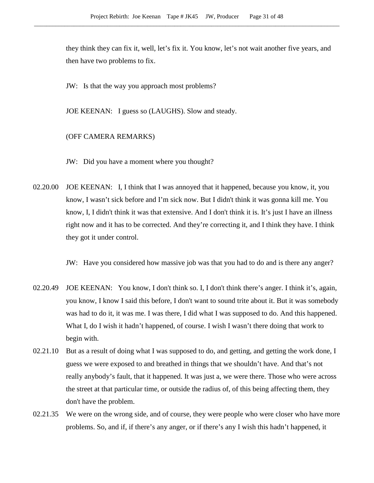they think they can fix it, well, let's fix it. You know, let's not wait another five years, and then have two problems to fix.

JW: Is that the way you approach most problems?

JOE KEENAN: I guess so (LAUGHS). Slow and steady.

(OFF CAMERA REMARKS)

JW: Did you have a moment where you thought?

02.20.00 JOE KEENAN: I, I think that I was annoyed that it happened, because you know, it, you know, I wasn't sick before and I'm sick now. But I didn't think it was gonna kill me. You know, I, I didn't think it was that extensive. And I don't think it is. It's just I have an illness right now and it has to be corrected. And they're correcting it, and I think they have. I think they got it under control.

JW: Have you considered how massive job was that you had to do and is there any anger?

- 02.20.49 JOE KEENAN: You know, I don't think so. I, I don't think there's anger. I think it's, again, you know, I know I said this before, I don't want to sound trite about it. But it was somebody was had to do it, it was me. I was there, I did what I was supposed to do. And this happened. What I, do I wish it hadn't happened, of course. I wish I wasn't there doing that work to begin with.
- 02.21.10 But as a result of doing what I was supposed to do, and getting, and getting the work done, I guess we were exposed to and breathed in things that we shouldn't have. And that's not really anybody's fault, that it happened. It was just a, we were there. Those who were across the street at that particular time, or outside the radius of, of this being affecting them, they don't have the problem.
- 02.21.35 We were on the wrong side, and of course, they were people who were closer who have more problems. So, and if, if there's any anger, or if there's any I wish this hadn't happened, it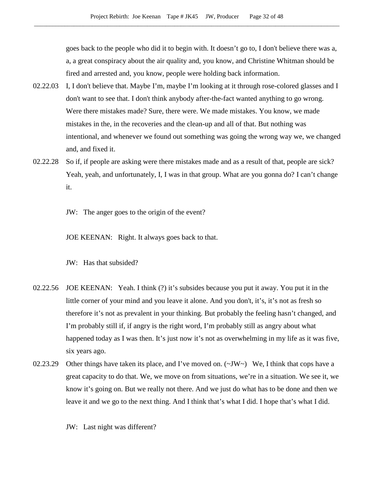goes back to the people who did it to begin with. It doesn't go to, I don't believe there was a, a, a great conspiracy about the air quality and, you know, and Christine Whitman should be fired and arrested and, you know, people were holding back information.

- 02.22.03 I, I don't believe that. Maybe I'm, maybe I'm looking at it through rose-colored glasses and I don't want to see that. I don't think anybody after-the-fact wanted anything to go wrong. Were there mistakes made? Sure, there were. We made mistakes. You know, we made mistakes in the, in the recoveries and the clean-up and all of that. But nothing was intentional, and whenever we found out something was going the wrong way we, we changed and, and fixed it.
- 02.22.28 So if, if people are asking were there mistakes made and as a result of that, people are sick? Yeah, yeah, and unfortunately, I, I was in that group. What are you gonna do? I can't change it.

JW: The anger goes to the origin of the event?

JOE KEENAN: Right. It always goes back to that.

JW: Has that subsided?

- 02.22.56 JOE KEENAN: Yeah. I think (?) it's subsides because you put it away. You put it in the little corner of your mind and you leave it alone. And you don't, it's, it's not as fresh so therefore it's not as prevalent in your thinking. But probably the feeling hasn't changed, and I'm probably still if, if angry is the right word, I'm probably still as angry about what happened today as I was then. It's just now it's not as overwhelming in my life as it was five, six years ago.
- 02.23.29 Other things have taken its place, and I've moved on.  $(\sim JW \sim)$  We, I think that cops have a great capacity to do that. We, we move on from situations, we're in a situation. We see it, we know it's going on. But we really not there. And we just do what has to be done and then we leave it and we go to the next thing. And I think that's what I did. I hope that's what I did.

JW: Last night was different?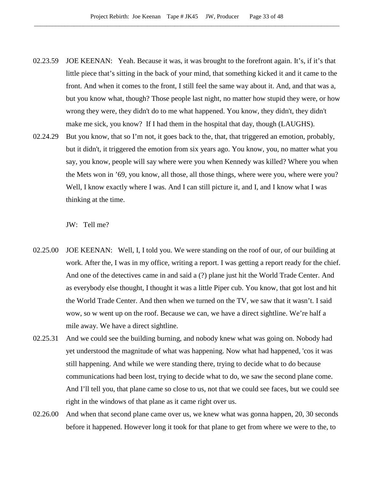- 02.23.59 JOE KEENAN: Yeah. Because it was, it was brought to the forefront again. It's, if it's that little piece that's sitting in the back of your mind, that something kicked it and it came to the front. And when it comes to the front, I still feel the same way about it. And, and that was a, but you know what, though? Those people last night, no matter how stupid they were, or how wrong they were, they didn't do to me what happened. You know, they didn't, they didn't make me sick, you know? If I had them in the hospital that day, though (LAUGHS).
- 02.24.29 But you know, that so I'm not, it goes back to the, that, that triggered an emotion, probably, but it didn't, it triggered the emotion from six years ago. You know, you, no matter what you say, you know, people will say where were you when Kennedy was killed? Where you when the Mets won in '69, you know, all those, all those things, where were you, where were you? Well, I know exactly where I was. And I can still picture it, and I, and I know what I was thinking at the time.

JW: Tell me?

- 02.25.00 JOE KEENAN: Well, I, I told you. We were standing on the roof of our, of our building at work. After the, I was in my office, writing a report. I was getting a report ready for the chief. And one of the detectives came in and said a (?) plane just hit the World Trade Center. And as everybody else thought, I thought it was a little Piper cub. You know, that got lost and hit the World Trade Center. And then when we turned on the TV, we saw that it wasn't. I said wow, so w went up on the roof. Because we can, we have a direct sightline. We're half a mile away. We have a direct sightline.
- 02.25.31 And we could see the building burning, and nobody knew what was going on. Nobody had yet understood the magnitude of what was happening. Now what had happened, 'cos it was still happening. And while we were standing there, trying to decide what to do because communications had been lost, trying to decide what to do, we saw the second plane come. And I'll tell you, that plane came so close to us, not that we could see faces, but we could see right in the windows of that plane as it came right over us.
- 02.26.00 And when that second plane came over us, we knew what was gonna happen, 20, 30 seconds before it happened. However long it took for that plane to get from where we were to the, to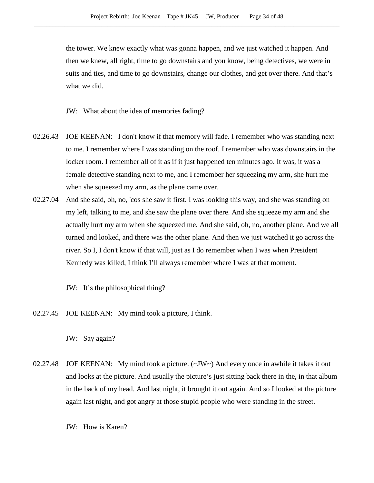the tower. We knew exactly what was gonna happen, and we just watched it happen. And then we knew, all right, time to go downstairs and you know, being detectives, we were in suits and ties, and time to go downstairs, change our clothes, and get over there. And that's what we did.

JW: What about the idea of memories fading?

- 02.26.43 JOE KEENAN: I don't know if that memory will fade. I remember who was standing next to me. I remember where I was standing on the roof. I remember who was downstairs in the locker room. I remember all of it as if it just happened ten minutes ago. It was, it was a female detective standing next to me, and I remember her squeezing my arm, she hurt me when she squeezed my arm, as the plane came over.
- 02.27.04 And she said, oh, no, 'cos she saw it first. I was looking this way, and she was standing on my left, talking to me, and she saw the plane over there. And she squeeze my arm and she actually hurt my arm when she squeezed me. And she said, oh, no, another plane. And we all turned and looked, and there was the other plane. And then we just watched it go across the river. So I, I don't know if that will, just as I do remember when I was when President Kennedy was killed, I think I'll always remember where I was at that moment.

JW: It's the philosophical thing?

02.27.45 JOE KEENAN: My mind took a picture, I think.

JW: Say again?

02.27.48 JOE KEENAN: My mind took a picture. (~JW~) And every once in awhile it takes it out and looks at the picture. And usually the picture's just sitting back there in the, in that album in the back of my head. And last night, it brought it out again. And so I looked at the picture again last night, and got angry at those stupid people who were standing in the street.

JW: How is Karen?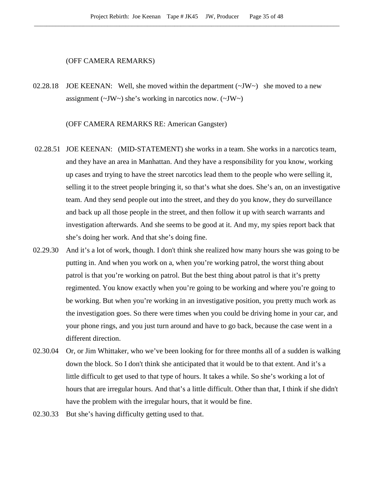### (OFF CAMERA REMARKS)

02.28.18 JOE KEENAN: Well, she moved within the department  $(\sim JW)$  she moved to a new assignment  $(\sim JW \sim)$  she's working in narcotics now.  $(\sim JW \sim)$ 

#### (OFF CAMERA REMARKS RE: American Gangster)

- 02.28.51 JOE KEENAN: (MID-STATEMENT) she works in a team. She works in a narcotics team, and they have an area in Manhattan. And they have a responsibility for you know, working up cases and trying to have the street narcotics lead them to the people who were selling it, selling it to the street people bringing it, so that's what she does. She's an, on an investigative team. And they send people out into the street, and they do you know, they do surveillance and back up all those people in the street, and then follow it up with search warrants and investigation afterwards. And she seems to be good at it. And my, my spies report back that she's doing her work. And that she's doing fine.
- 02.29.30 And it's a lot of work, though. I don't think she realized how many hours she was going to be putting in. And when you work on a, when you're working patrol, the worst thing about patrol is that you're working on patrol. But the best thing about patrol is that it's pretty regimented. You know exactly when you're going to be working and where you're going to be working. But when you're working in an investigative position, you pretty much work as the investigation goes. So there were times when you could be driving home in your car, and your phone rings, and you just turn around and have to go back, because the case went in a different direction.
- 02.30.04 Or, or Jim Whittaker, who we've been looking for for three months all of a sudden is walking down the block. So I don't think she anticipated that it would be to that extent. And it's a little difficult to get used to that type of hours. It takes a while. So she's working a lot of hours that are irregular hours. And that's a little difficult. Other than that, I think if she didn't have the problem with the irregular hours, that it would be fine.
- 02.30.33 But she's having difficulty getting used to that.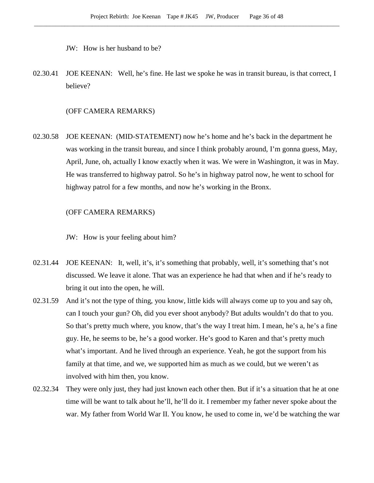JW: How is her husband to be?

02.30.41 JOE KEENAN: Well, he's fine. He last we spoke he was in transit bureau, is that correct, I believe?

### (OFF CAMERA REMARKS)

02.30.58 JOE KEENAN: (MID-STATEMENT) now he's home and he's back in the department he was working in the transit bureau, and since I think probably around, I'm gonna guess, May, April, June, oh, actually I know exactly when it was. We were in Washington, it was in May. He was transferred to highway patrol. So he's in highway patrol now, he went to school for highway patrol for a few months, and now he's working in the Bronx.

# (OFF CAMERA REMARKS)

- JW: How is your feeling about him?
- 02.31.44 JOE KEENAN: It, well, it's, it's something that probably, well, it's something that's not discussed. We leave it alone. That was an experience he had that when and if he's ready to bring it out into the open, he will.
- 02.31.59 And it's not the type of thing, you know, little kids will always come up to you and say oh, can I touch your gun? Oh, did you ever shoot anybody? But adults wouldn't do that to you. So that's pretty much where, you know, that's the way I treat him. I mean, he's a, he's a fine guy. He, he seems to be, he's a good worker. He's good to Karen and that's pretty much what's important. And he lived through an experience. Yeah, he got the support from his family at that time, and we, we supported him as much as we could, but we weren't as involved with him then, you know.
- 02.32.34 They were only just, they had just known each other then. But if it's a situation that he at one time will be want to talk about he'll, he'll do it. I remember my father never spoke about the war. My father from World War II. You know, he used to come in, we'd be watching the war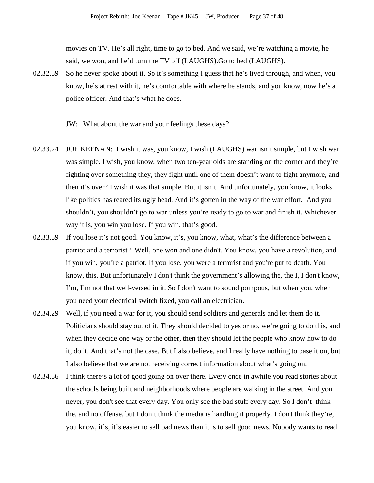movies on TV. He's all right, time to go to bed. And we said, we're watching a movie, he said, we won, and he'd turn the TV off (LAUGHS). Go to bed (LAUGHS).

02.32.59 So he never spoke about it. So it's something I guess that he's lived through, and when, you know, he's at rest with it, he's comfortable with where he stands, and you know, now he's a police officer. And that's what he does.

JW: What about the war and your feelings these days?

- 02.33.24 JOE KEENAN: I wish it was, you know, I wish (LAUGHS) war isn't simple, but I wish war was simple. I wish, you know, when two ten-year olds are standing on the corner and they're fighting over something they, they fight until one of them doesn't want to fight anymore, and then it's over? I wish it was that simple. But it isn't. And unfortunately, you know, it looks like politics has reared its ugly head. And it's gotten in the way of the war effort. And you shouldn't, you shouldn't go to war unless you're ready to go to war and finish it. Whichever way it is, you win you lose. If you win, that's good.
- 02.33.59 If you lose it's not good. You know, it's, you know, what, what's the difference between a patriot and a terrorist? Well, one won and one didn't. You know, you have a revolution, and if you win, you're a patriot. If you lose, you were a terrorist and you're put to death. You know, this. But unfortunately I don't think the government's allowing the, the I, I don't know, I'm, I'm not that well-versed in it. So I don't want to sound pompous, but when you, when you need your electrical switch fixed, you call an electrician.
- 02.34.29 Well, if you need a war for it, you should send soldiers and generals and let them do it. Politicians should stay out of it. They should decided to yes or no, we're going to do this, and when they decide one way or the other, then they should let the people who know how to do it, do it. And that's not the case. But I also believe, and I really have nothing to base it on, but I also believe that we are not receiving correct information about what's going on.
- 02.34.56 I think there's a lot of good going on over there. Every once in awhile you read stories about the schools being built and neighborhoods where people are walking in the street. And you never, you don't see that every day. You only see the bad stuff every day. So I don't think the, and no offense, but I don't think the media is handling it properly. I don't think they're, you know, it's, it's easier to sell bad news than it is to sell good news. Nobody wants to read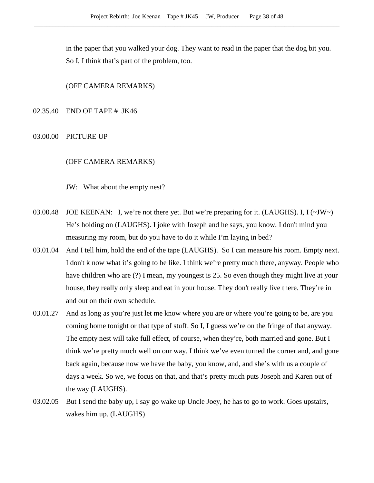in the paper that you walked your dog. They want to read in the paper that the dog bit you. So I, I think that's part of the problem, too.

(OFF CAMERA REMARKS)

#### 02.35.40 END OF TAPE # JK46

03.00.00 PICTURE UP

#### (OFF CAMERA REMARKS)

JW: What about the empty nest?

- 03.00.48 JOE KEENAN: I, we're not there yet. But we're preparing for it. (LAUGHS). I, I (~JW~) He's holding on (LAUGHS). I joke with Joseph and he says, you know, I don't mind you measuring my room, but do you have to do it while I'm laying in bed?
- 03.01.04 And I tell him, hold the end of the tape (LAUGHS). So I can measure his room. Empty next. I don't k now what it's going to be like. I think we're pretty much there, anyway. People who have children who are (?) I mean, my youngest is 25. So even though they might live at your house, they really only sleep and eat in your house. They don't really live there. They're in and out on their own schedule.
- 03.01.27 And as long as you're just let me know where you are or where you're going to be, are you coming home tonight or that type of stuff. So I, I guess we're on the fringe of that anyway. The empty nest will take full effect, of course, when they're, both married and gone. But I think we're pretty much well on our way. I think we've even turned the corner and, and gone back again, because now we have the baby, you know, and, and she's with us a couple of days a week. So we, we focus on that, and that's pretty much puts Joseph and Karen out of the way (LAUGHS).
- 03.02.05 But I send the baby up, I say go wake up Uncle Joey, he has to go to work. Goes upstairs, wakes him up. (LAUGHS)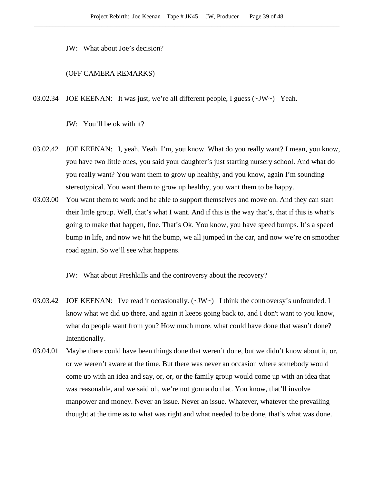JW: What about Joe's decision?

## (OFF CAMERA REMARKS)

03.02.34 JOE KEENAN: It was just, we're all different people, I guess (~JW~) Yeah.

JW: You'll be ok with it?

- 03.02.42 JOE KEENAN: I, yeah. Yeah. I'm, you know. What do you really want? I mean, you know, you have two little ones, you said your daughter's just starting nursery school. And what do you really want? You want them to grow up healthy, and you know, again I'm sounding stereotypical. You want them to grow up healthy, you want them to be happy.
- 03.03.00 You want them to work and be able to support themselves and move on. And they can start their little group. Well, that's what I want. And if this is the way that's, that if this is what's going to make that happen, fine. That's Ok. You know, you have speed bumps. It's a speed bump in life, and now we hit the bump, we all jumped in the car, and now we're on smoother road again. So we'll see what happens.

JW: What about Freshkills and the controversy about the recovery?

- 03.03.42 JOE KEENAN: I've read it occasionally. (~JW~) I think the controversy's unfounded. I know what we did up there, and again it keeps going back to, and I don't want to you know, what do people want from you? How much more, what could have done that wasn't done? Intentionally.
- 03.04.01 Maybe there could have been things done that weren't done, but we didn't know about it, or, or we weren't aware at the time. But there was never an occasion where somebody would come up with an idea and say, or, or, or the family group would come up with an idea that was reasonable, and we said oh, we're not gonna do that. You know, that'll involve manpower and money. Never an issue. Never an issue. Whatever, whatever the prevailing thought at the time as to what was right and what needed to be done, that's what was done.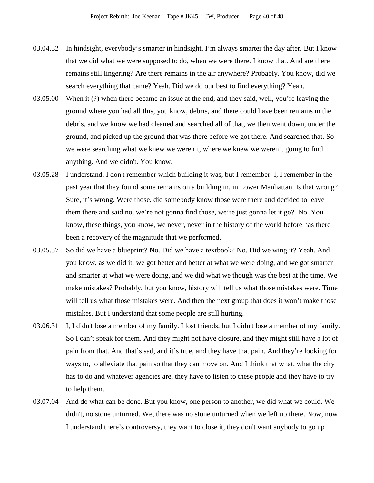- 03.04.32 In hindsight, everybody's smarter in hindsight. I'm always smarter the day after. But I know that we did what we were supposed to do, when we were there. I know that. And are there remains still lingering? Are there remains in the air anywhere? Probably. You know, did we search everything that came? Yeah. Did we do our best to find everything? Yeah.
- 03.05.00 When it (?) when there became an issue at the end, and they said, well, you're leaving the ground where you had all this, you know, debris, and there could have been remains in the debris, and we know we had cleaned and searched all of that, we then went down, under the ground, and picked up the ground that was there before we got there. And searched that. So we were searching what we knew we weren't, where we knew we weren't going to find anything. And we didn't. You know.
- 03.05.28 I understand, I don't remember which building it was, but I remember. I, I remember in the past year that they found some remains on a building in, in Lower Manhattan. Is that wrong? Sure, it's wrong. Were those, did somebody know those were there and decided to leave them there and said no, we're not gonna find those, we're just gonna let it go? No. You know, these things, you know, we never, never in the history of the world before has there been a recovery of the magnitude that we performed.
- 03.05.57 So did we have a blueprint? No. Did we have a textbook? No. Did we wing it? Yeah. And you know, as we did it, we got better and better at what we were doing, and we got smarter and smarter at what we were doing, and we did what we though was the best at the time. We make mistakes? Probably, but you know, history will tell us what those mistakes were. Time will tell us what those mistakes were. And then the next group that does it won't make those mistakes. But I understand that some people are still hurting.
- 03.06.31 I, I didn't lose a member of my family. I lost friends, but I didn't lose a member of my family. So I can't speak for them. And they might not have closure, and they might still have a lot of pain from that. And that's sad, and it's true, and they have that pain. And they're looking for ways to, to alleviate that pain so that they can move on. And I think that what, what the city has to do and whatever agencies are, they have to listen to these people and they have to try to help them.
- 03.07.04 And do what can be done. But you know, one person to another, we did what we could. We didn't, no stone unturned. We, there was no stone unturned when we left up there. Now, now I understand there's controversy, they want to close it, they don't want anybody to go up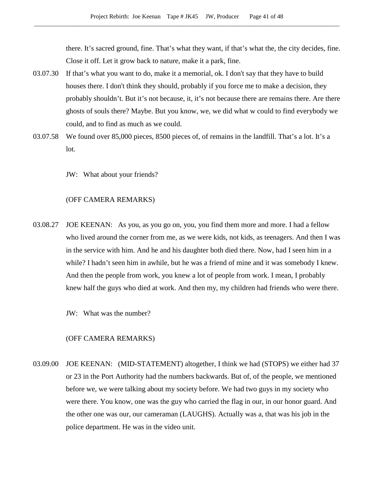there. It's sacred ground, fine. That's what they want, if that's what the, the city decides, fine. Close it off. Let it grow back to nature, make it a park, fine.

- 03.07.30 If that's what you want to do, make it a memorial, ok. I don't say that they have to build houses there. I don't think they should, probably if you force me to make a decision, they probably shouldn't. But it's not because, it, it's not because there are remains there. Are there ghosts of souls there? Maybe. But you know, we, we did what w could to find everybody we could, and to find as much as we could.
- 03.07.58 We found over 85,000 pieces, 8500 pieces of, of remains in the landfill. That's a lot. It's a lot.

JW: What about your friends?

#### (OFF CAMERA REMARKS)

- 03.08.27 JOE KEENAN: As you, as you go on, you, you find them more and more. I had a fellow who lived around the corner from me, as we were kids, not kids, as teenagers. And then I was in the service with him. And he and his daughter both died there. Now, had I seen him in a while? I hadn't seen him in awhile, but he was a friend of mine and it was somebody I knew. And then the people from work, you knew a lot of people from work. I mean, I probably knew half the guys who died at work. And then my, my children had friends who were there.
	- JW: What was the number?

#### (OFF CAMERA REMARKS)

03.09.00 JOE KEENAN: (MID-STATEMENT) altogether, I think we had (STOPS) we either had 37 or 23 in the Port Authority had the numbers backwards. But of, of the people, we mentioned before we, we were talking about my society before. We had two guys in my society who were there. You know, one was the guy who carried the flag in our, in our honor guard. And the other one was our, our cameraman (LAUGHS). Actually was a, that was his job in the police department. He was in the video unit.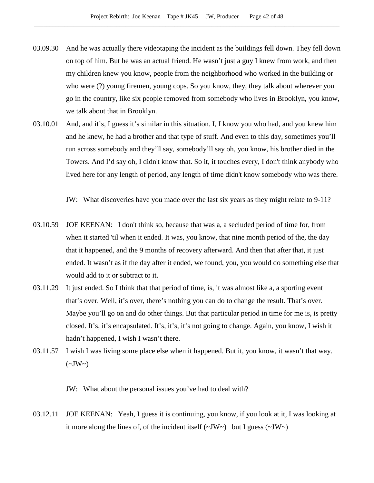- 03.09.30 And he was actually there videotaping the incident as the buildings fell down. They fell down on top of him. But he was an actual friend. He wasn't just a guy I knew from work, and then my children knew you know, people from the neighborhood who worked in the building or who were (?) young firemen, young cops. So you know, they, they talk about wherever you go in the country, like six people removed from somebody who lives in Brooklyn, you know, we talk about that in Brooklyn.
- 03.10.01 And, and it's, I guess it's similar in this situation. I, I know you who had, and you knew him and he knew, he had a brother and that type of stuff. And even to this day, sometimes you'll run across somebody and they'll say, somebody'll say oh, you know, his brother died in the Towers. And I'd say oh, I didn't know that. So it, it touches every, I don't think anybody who lived here for any length of period, any length of time didn't know somebody who was there.

JW: What discoveries have you made over the last six years as they might relate to 9-11?

- 03.10.59 JOE KEENAN: I don't think so, because that was a, a secluded period of time for, from when it started 'til when it ended. It was, you know, that nine month period of the, the day that it happened, and the 9 months of recovery afterward. And then that after that, it just ended. It wasn't as if the day after it ended, we found, you, you would do something else that would add to it or subtract to it.
- 03.11.29 It just ended. So I think that that period of time, is, it was almost like a, a sporting event that's over. Well, it's over, there's nothing you can do to change the result. That's over. Maybe you'll go on and do other things. But that particular period in time for me is, is pretty closed. It's, it's encapsulated. It's, it's, it's not going to change. Again, you know, I wish it hadn't happened, I wish I wasn't there.
- 03.11.57 I wish I was living some place else when it happened. But it, you know, it wasn't that way.  $(\sim JW \sim)$

JW: What about the personal issues you've had to deal with?

03.12.11 JOE KEENAN: Yeah, I guess it is continuing, you know, if you look at it, I was looking at it more along the lines of, of the incident itself  $(\sim JW \sim)$  but I guess  $(\sim JW \sim)$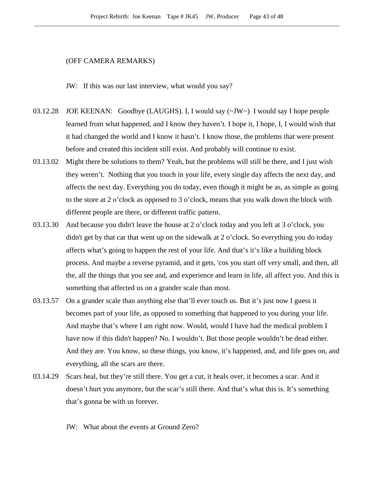### (OFF CAMERA REMARKS)

JW: If this was our last interview, what would you say?

- 03.12.28 JOE KEENAN: Goodbye (LAUGHS). I, I would say (~JW~) I would say I hope people learned from what happened, and I know they haven't. I hope it, I hope, I, I would wish that it had changed the world and I know it hasn't. I know those, the problems that were present before and created this incident still exist. And probably will continue to exist.
- 03.13.02 Might there be solutions to them? Yeah, but the problems will still be there, and I just wish they weren't. Nothing that you touch in your life, every single day affects the next day, and affects the next day. Everything you do today, even though it might be as, as simple as going to the store at 2 o'clock as opposed to 3 o'clock, means that you walk down the block with different people are there, or different traffic pattern.
- 03.13.30 And because you didn't leave the house at 2 o'clock today and you left at 3 o'clock, you didn't get by that car that went up on the sidewalk at 2 o'clock. So everything you do today affects what's going to happen the rest of your life. And that's it's like a building block process. And maybe a reverse pyramid, and it gets, 'cos you start off very small, and then, all the, all the things that you see and, and experience and learn in life, all affect you. And this is something that affected us on a grander scale than most.
- 03.13.57 On a grander scale than anything else that'll ever touch us. But it's just now I guess it becomes part of your life, as opposed to something that happened to you during your life. And maybe that's where I am right now. Would, would I have had the medical problem I have now if this didn't happen? No. I wouldn't. But those people wouldn't be dead either. And they are. You know, so these things, you know, it's happened, and, and life goes on, and everything, all the scars are there.
- 03.14.29 Scars heal, but they're still there. You get a cut, it heals over, it becomes a scar. And it doesn't hurt you anymore, but the scar's still there. And that's what this is. It's something that's gonna be with us forever.

JW: What about the events at Ground Zero?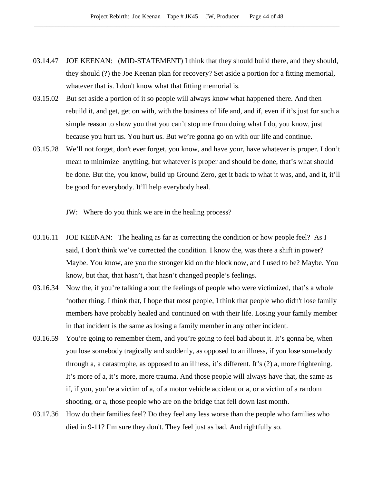- 03.14.47 JOE KEENAN: (MID-STATEMENT) I think that they should build there, and they should, they should (?) the Joe Keenan plan for recovery? Set aside a portion for a fitting memorial, whatever that is. I don't know what that fitting memorial is.
- 03.15.02 But set aside a portion of it so people will always know what happened there. And then rebuild it, and get, get on with, with the business of life and, and if, even if it's just for such a simple reason to show you that you can't stop me from doing what I do, you know, just because you hurt us. You hurt us. But we're gonna go on with our life and continue.
- 03.15.28 We'll not forget, don't ever forget, you know, and have your, have whatever is proper. I don't mean to minimize anything, but whatever is proper and should be done, that's what should be done. But the, you know, build up Ground Zero, get it back to what it was, and, and it, it'll be good for everybody. It'll help everybody heal.

JW: Where do you think we are in the healing process?

- 03.16.11 JOE KEENAN: The healing as far as correcting the condition or how people feel? As I said, I don't think we've corrected the condition. I know the, was there a shift in power? Maybe. You know, are you the stronger kid on the block now, and I used to be? Maybe. You know, but that, that hasn't, that hasn't changed people's feelings.
- 03.16.34 Now the, if you're talking about the feelings of people who were victimized, that's a whole 'nother thing. I think that, I hope that most people, I think that people who didn't lose family members have probably healed and continued on with their life. Losing your family member in that incident is the same as losing a family member in any other incident.
- 03.16.59 You're going to remember them, and you're going to feel bad about it. It's gonna be, when you lose somebody tragically and suddenly, as opposed to an illness, if you lose somebody through a, a catastrophe, as opposed to an illness, it's different. It's (?) a, more frightening. It's more of a, it's more, more trauma. And those people will always have that, the same as if, if you, you're a victim of a, of a motor vehicle accident or a, or a victim of a random shooting, or a, those people who are on the bridge that fell down last month.
- 03.17.36 How do their families feel? Do they feel any less worse than the people who families who died in 9-11? I'm sure they don't. They feel just as bad. And rightfully so.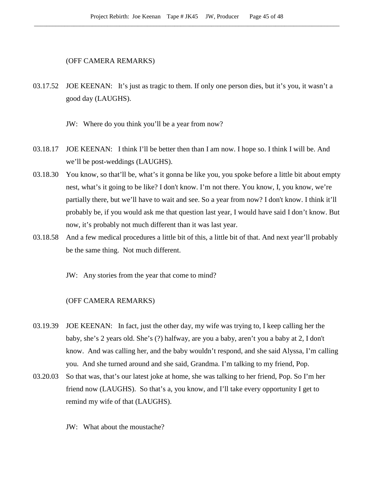# (OFF CAMERA REMARKS)

- 03.17.52 JOE KEENAN: It's just as tragic to them. If only one person dies, but it's you, it wasn't a good day (LAUGHS).
	- JW: Where do you think you'll be a year from now?
- 03.18.17 JOE KEENAN: I think I'll be better then than I am now. I hope so. I think I will be. And we'll be post-weddings (LAUGHS).
- 03.18.30 You know, so that'll be, what's it gonna be like you, you spoke before a little bit about empty nest, what's it going to be like? I don't know. I'm not there. You know, I, you know, we're partially there, but we'll have to wait and see. So a year from now? I don't know. I think it'll probably be, if you would ask me that question last year, I would have said I don't know. But now, it's probably not much different than it was last year.
- 03.18.58 And a few medical procedures a little bit of this, a little bit of that. And next year'll probably be the same thing. Not much different.
	- JW: Any stories from the year that come to mind?

#### (OFF CAMERA REMARKS)

- 03.19.39 JOE KEENAN: In fact, just the other day, my wife was trying to, I keep calling her the baby, she's 2 years old. She's (?) halfway, are you a baby, aren't you a baby at 2, I don't know. And was calling her, and the baby wouldn't respond, and she said Alyssa, I'm calling you. And she turned around and she said, Grandma. I'm talking to my friend, Pop.
- 03.20.03 So that was, that's our latest joke at home, she was talking to her friend, Pop. So I'm her friend now (LAUGHS). So that's a, you know, and I'll take every opportunity I get to remind my wife of that (LAUGHS).

JW: What about the moustache?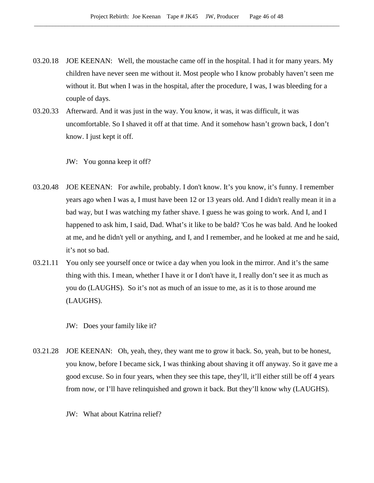- 03.20.18 JOE KEENAN: Well, the moustache came off in the hospital. I had it for many years. My children have never seen me without it. Most people who I know probably haven't seen me without it. But when I was in the hospital, after the procedure, I was, I was bleeding for a couple of days.
- 03.20.33 Afterward. And it was just in the way. You know, it was, it was difficult, it was uncomfortable. So I shaved it off at that time. And it somehow hasn't grown back, I don't know. I just kept it off.

JW: You gonna keep it off?

- 03.20.48 JOE KEENAN: For awhile, probably. I don't know. It's you know, it's funny. I remember years ago when I was a, I must have been 12 or 13 years old. And I didn't really mean it in a bad way, but I was watching my father shave. I guess he was going to work. And I, and I happened to ask him, I said, Dad. What's it like to be bald? 'Cos he was bald. And he looked at me, and he didn't yell or anything, and I, and I remember, and he looked at me and he said, it's not so bad.
- 03.21.11 You only see yourself once or twice a day when you look in the mirror. And it's the same thing with this. I mean, whether I have it or I don't have it, I really don't see it as much as you do (LAUGHS). So it's not as much of an issue to me, as it is to those around me (LAUGHS).

JW: Does your family like it?

- 03.21.28 JOE KEENAN: Oh, yeah, they, they want me to grow it back. So, yeah, but to be honest, you know, before I became sick, I was thinking about shaving it off anyway. So it gave me a good excuse. So in four years, when they see this tape, they'll, it'll either still be off 4 years from now, or I'll have relinquished and grown it back. But they'll know why (LAUGHS).
	- JW: What about Katrina relief?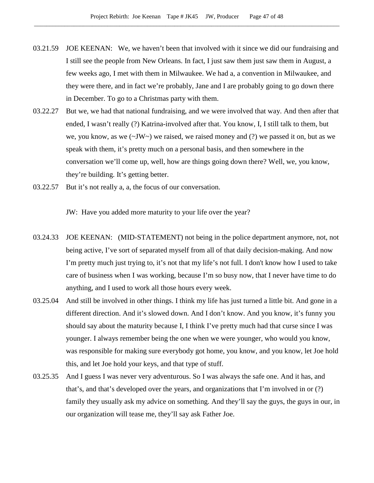- 03.21.59 JOE KEENAN: We, we haven't been that involved with it since we did our fundraising and I still see the people from New Orleans. In fact, I just saw them just saw them in August, a few weeks ago, I met with them in Milwaukee. We had a, a convention in Milwaukee, and they were there, and in fact we're probably, Jane and I are probably going to go down there in December. To go to a Christmas party with them.
- 03.22.27 But we, we had that national fundraising, and we were involved that way. And then after that ended, I wasn't really (?) Katrina-involved after that. You know, I, I still talk to them, but we, you know, as we (~JW~) we raised, we raised money and (?) we passed it on, but as we speak with them, it's pretty much on a personal basis, and then somewhere in the conversation we'll come up, well, how are things going down there? Well, we, you know, they're building. It's getting better.
- 03.22.57 But it's not really a, a, the focus of our conversation.

JW: Have you added more maturity to your life over the year?

- 03.24.33 JOE KEENAN: (MID-STATEMENT) not being in the police department anymore, not, not being active, I've sort of separated myself from all of that daily decision-making. And now I'm pretty much just trying to, it's not that my life's not full. I don't know how I used to take care of business when I was working, because I'm so busy now, that I never have time to do anything, and I used to work all those hours every week.
- 03.25.04 And still be involved in other things. I think my life has just turned a little bit. And gone in a different direction. And it's slowed down. And I don't know. And you know, it's funny you should say about the maturity because I, I think I've pretty much had that curse since I was younger. I always remember being the one when we were younger, who would you know, was responsible for making sure everybody got home, you know, and you know, let Joe hold this, and let Joe hold your keys, and that type of stuff.
- 03.25.35 And I guess I was never very adventurous. So I was always the safe one. And it has, and that's, and that's developed over the years, and organizations that I'm involved in or (?) family they usually ask my advice on something. And they'll say the guys, the guys in our, in our organization will tease me, they'll say ask Father Joe.